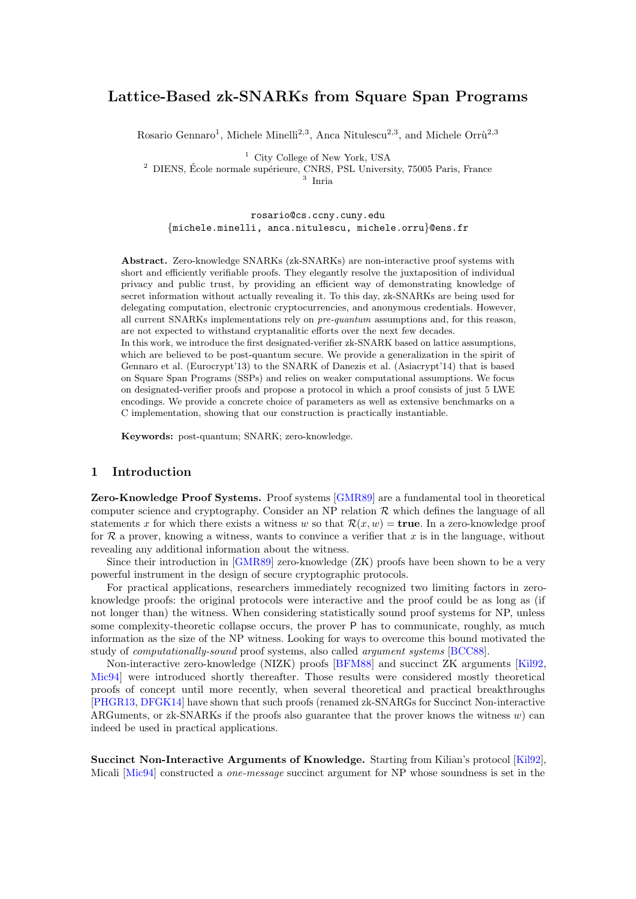## Lattice-Based zk-SNARKs from Square Span Programs

Rosario Gennaro<sup>1</sup>, Michele Minelli<sup>2,3</sup>, Anca Nitulescu<sup>2,3</sup>, and Michele Orrù<sup>2,3</sup>

<sup>1</sup> City College of New York, USA

<sup>2</sup> DIENS, École normale supérieure, CNRS, PSL University, 75005 Paris, France

3 Inria

rosario@cs.ccny.cuny.edu {michele.minelli, anca.nitulescu, michele.orru}@ens.fr

Abstract. Zero-knowledge SNARKs (zk-SNARKs) are non-interactive proof systems with short and efficiently verifiable proofs. They elegantly resolve the juxtaposition of individual privacy and public trust, by providing an efficient way of demonstrating knowledge of secret information without actually revealing it. To this day, zk-SNARKs are being used for delegating computation, electronic cryptocurrencies, and anonymous credentials. However, all current SNARKs implementations rely on pre-quantum assumptions and, for this reason, are not expected to withstand cryptanalitic efforts over the next few decades.

In this work, we introduce the first designated-verifier zk-SNARK based on lattice assumptions, which are believed to be post-quantum secure. We provide a generalization in the spirit of Gennaro et al. (Eurocrypt'13) to the SNARK of Danezis et al. (Asiacrypt'14) that is based on Square Span Programs (SSPs) and relies on weaker computational assumptions. We focus on designated-verifier proofs and propose a protocol in which a proof consists of just 5 LWE encodings. We provide a concrete choice of parameters as well as extensive benchmarks on a C implementation, showing that our construction is practically instantiable.

Keywords: post-quantum; SNARK; zero-knowledge.

## 1 Introduction

Zero-Knowledge Proof Systems. Proof systems [\[GMR89\]](#page-24-0) are a fundamental tool in theoretical computer science and cryptography. Consider an NP relation  $\mathcal R$  which defines the language of all statements x for which there exists a witness w so that  $\mathcal{R}(x, w) = \textbf{true}$ . In a zero-knowledge proof for  $\mathcal R$  a prover, knowing a witness, wants to convince a verifier that x is in the language, without revealing any additional information about the witness.

Since their introduction in [\[GMR89\]](#page-24-0) zero-knowledge (ZK) proofs have been shown to be a very powerful instrument in the design of secure cryptographic protocols.

For practical applications, researchers immediately recognized two limiting factors in zeroknowledge proofs: the original protocols were interactive and the proof could be as long as (if not longer than) the witness. When considering statistically sound proof systems for NP, unless some complexity-theoretic collapse occurs, the prover P has to communicate, roughly, as much information as the size of the NP witness. Looking for ways to overcome this bound motivated the study of computationally-sound proof systems, also called argument systems [\[BCC88\]](#page-23-0).

Non-interactive zero-knowledge (NIZK) proofs [\[BFM88\]](#page-23-1) and succinct ZK arguments [\[Kil92,](#page-25-0) [Mic94\]](#page-25-1) were introduced shortly thereafter. Those results were considered mostly theoretical proofs of concept until more recently, when several theoretical and practical breakthroughs [\[PHGR13,](#page-25-2) [DFGK14\]](#page-24-1) have shown that such proofs (renamed zk-SNARGs for Succinct Non-interactive ARGuments, or zk-SNARKs if the proofs also guarantee that the prover knows the witness  $w$ ) can indeed be used in practical applications.

Succinct Non-Interactive Arguments of Knowledge. Starting from Kilian's protocol [\[Kil92\]](#page-25-0), Micali [\[Mic94\]](#page-25-1) constructed a *one-message* succinct argument for NP whose soundness is set in the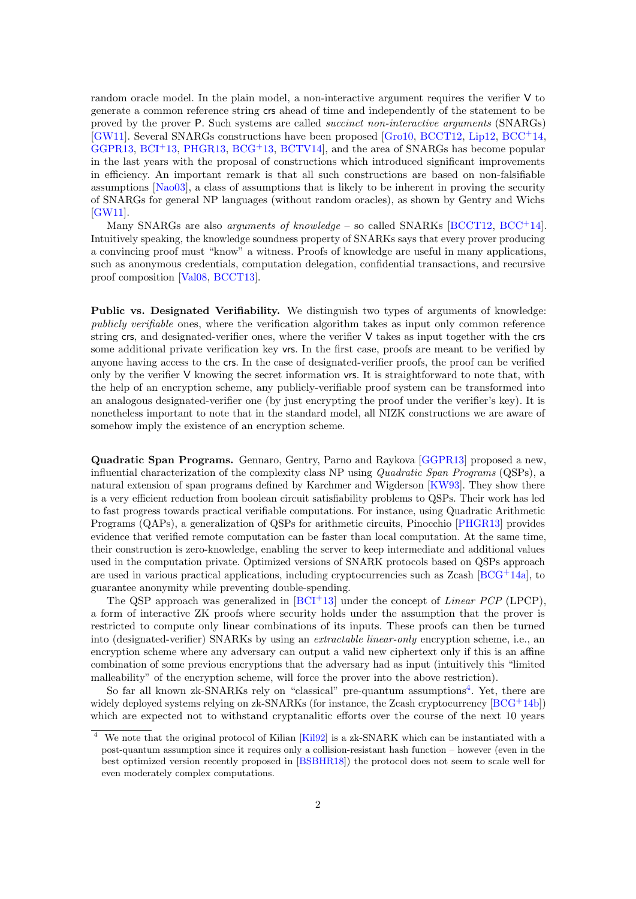random oracle model. In the plain model, a non-interactive argument requires the verifier V to generate a common reference string crs ahead of time and independently of the statement to be proved by the prover P. Such systems are called succinct non-interactive arguments (SNARGs) [\[GW11\]](#page-24-2). Several SNARGs constructions have been proposed [\[Gro10,](#page-24-3) [BCCT12,](#page-23-2) [Lip12,](#page-25-3) [BCC](#page-23-3)<sup>+</sup>14, [GGPR13,](#page-24-4)  $BCI<sup>+</sup>13$  $BCI<sup>+</sup>13$ ,  $PHGR13$ ,  $BCG<sup>+</sup>13$  $BCG<sup>+</sup>13$ ,  $BCTV14$ , and the area of SNARGs has become popular in the last years with the proposal of constructions which introduced significant improvements in efficiency. An important remark is that all such constructions are based on non-falsifiable assumptions [\[Nao03\]](#page-25-4), a class of assumptions that is likely to be inherent in proving the security of SNARGs for general NP languages (without random oracles), as shown by Gentry and Wichs [\[GW11\]](#page-24-2).

Many SNARGs are also *arguments of knowledge* – so called SNARKs [\[BCCT12,](#page-23-2) [BCC](#page-23-3)<sup>+</sup>14]. Intuitively speaking, the knowledge soundness property of SNARKs says that every prover producing a convincing proof must "know" a witness. Proofs of knowledge are useful in many applications, such as anonymous credentials, computation delegation, confidential transactions, and recursive proof composition [\[Val08,](#page-25-5) [BCCT13\]](#page-23-7).

Public vs. Designated Verifiability. We distinguish two types of arguments of knowledge: publicly verifiable ones, where the verification algorithm takes as input only common reference string crs, and designated-verifier ones, where the verifier V takes as input together with the crs some additional private verification key vrs. In the first case, proofs are meant to be verified by anyone having access to the crs. In the case of designated-verifier proofs, the proof can be verified only by the verifier V knowing the secret information vrs. It is straightforward to note that, with the help of an encryption scheme, any publicly-verifiable proof system can be transformed into an analogous designated-verifier one (by just encrypting the proof under the verifier's key). It is nonetheless important to note that in the standard model, all NIZK constructions we are aware of somehow imply the existence of an encryption scheme.

Quadratic Span Programs. Gennaro, Gentry, Parno and Raykova [\[GGPR13\]](#page-24-4) proposed a new, influential characterization of the complexity class NP using Quadratic Span Programs (QSPs), a natural extension of span programs defined by Karchmer and Wigderson [\[KW93\]](#page-25-6). They show there is a very efficient reduction from boolean circuit satisfiability problems to QSPs. Their work has led to fast progress towards practical verifiable computations. For instance, using Quadratic Arithmetic Programs (QAPs), a generalization of QSPs for arithmetic circuits, Pinocchio [\[PHGR13\]](#page-25-2) provides evidence that verified remote computation can be faster than local computation. At the same time, their construction is zero-knowledge, enabling the server to keep intermediate and additional values used in the computation private. Optimized versions of SNARK protocols based on QSPs approach are used in various practical applications, including cryptocurrencies such as Zcash  $[BCG^+14a]$  $[BCG^+14a]$ , to guarantee anonymity while preventing double-spending.

The QSP approach was generalized in  $[BCI^+13]$  $[BCI^+13]$  under the concept of *Linear PCP* (LPCP), a form of interactive ZK proofs where security holds under the assumption that the prover is restricted to compute only linear combinations of its inputs. These proofs can then be turned into (designated-verifier) SNARKs by using an extractable linear-only encryption scheme, i.e., an encryption scheme where any adversary can output a valid new ciphertext only if this is an affine combination of some previous encryptions that the adversary had as input (intuitively this "limited malleability" of the encryption scheme, will force the prover into the above restriction).

So far all known zk-SNARKs rely on "classical" pre-quantum assumptions<sup>[4](#page-1-0)</sup>. Yet, there are widely deployed systems relying on zk-SNARKs (for instance, the Zcash cryptocurrency [\[BCG](#page-23-9)<sup>+</sup>14b]) which are expected not to withstand cryptanalitic efforts over the course of the next 10 years

<span id="page-1-0"></span><sup>4</sup> We note that the original protocol of Kilian [\[Kil92\]](#page-25-0) is a zk-SNARK which can be instantiated with a post-quantum assumption since it requires only a collision-resistant hash function – however (even in the best optimized version recently proposed in [\[BSBHR18\]](#page-24-5)) the protocol does not seem to scale well for even moderately complex computations.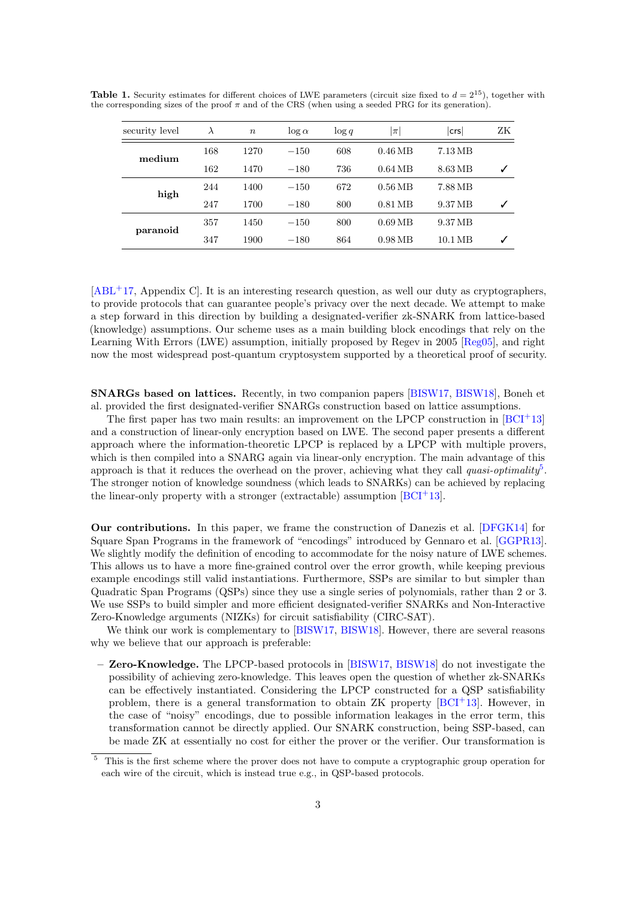<span id="page-2-1"></span>

| security level | $\lambda$ | $\boldsymbol{n}$ | $\log \alpha$ | $\log q$ | $ \pi $             | crs     | ZΚ |
|----------------|-----------|------------------|---------------|----------|---------------------|---------|----|
| medium         | 168       | 1270             | $-150$        | 608      | $0.46 \text{ MB}$   | 7.13 MB |    |
|                | 162       | 1470<br>$-180$   |               | 736      | $0.64\,\mathrm{MB}$ | 8.63 MB | ✓  |
| high           | 244       | 1400             | $-150$        | 672      | $0.56\,\mathrm{MB}$ | 7.88 MB |    |
|                | 247       | 1700             | $-180$        | 800      | $0.81 \text{ MB}$   | 9.37 MB | ✓  |
| paranoid       | 357       | 1450             | $-150$        | 800      | $0.69\,\mathrm{MB}$ | 9.37 MB |    |
|                | 347       | 1900             | $-180$        | 864      | $0.98\,\mathrm{MB}$ | 10.1 MB | ✓  |

**Table 1.** Security estimates for different choices of LWE parameters (circuit size fixed to  $d = 2^{15}$ ), together with the corresponding sizes of the proof  $\pi$  and of the CRS (when using a seeded PRG for its generation).

[\[ABL](#page-23-10)<sup>+</sup>17, Appendix C]. It is an interesting research question, as well our duty as cryptographers, to provide protocols that can guarantee people's privacy over the next decade. We attempt to make a step forward in this direction by building a designated-verifier zk-SNARK from lattice-based (knowledge) assumptions. Our scheme uses as a main building block encodings that rely on the Learning With Errors (LWE) assumption, initially proposed by Regev in 2005 [\[Reg05\]](#page-25-7), and right now the most widespread post-quantum cryptosystem supported by a theoretical proof of security.

SNARGs based on lattices. Recently, in two companion papers [\[BISW17,](#page-24-6) [BISW18\]](#page-24-7), Boneh et al. provided the first designated-verifier SNARGs construction based on lattice assumptions.

The first paper has two main results: an improvement on the LPCP construction in  $[BCI^+13]$  $[BCI^+13]$ and a construction of linear-only encryption based on LWE. The second paper presents a different approach where the information-theoretic LPCP is replaced by a LPCP with multiple provers, which is then compiled into a SNARG again via linear-only encryption. The main advantage of this approach is that it reduces the overhead on the prover, achieving what they call quasi-optimality<sup>[5](#page-2-0)</sup>. The stronger notion of knowledge soundness (which leads to SNARKs) can be achieved by replacing the linear-only property with a stronger (extractable) assumption  $[**BCI**+13]$ .

Our contributions. In this paper, we frame the construction of Danezis et al. [\[DFGK14\]](#page-24-1) for Square Span Programs in the framework of "encodings" introduced by Gennaro et al. [\[GGPR13\]](#page-24-4). We slightly modify the definition of encoding to accommodate for the noisy nature of LWE schemes. This allows us to have a more fine-grained control over the error growth, while keeping previous example encodings still valid instantiations. Furthermore, SSPs are similar to but simpler than Quadratic Span Programs (QSPs) since they use a single series of polynomials, rather than 2 or 3. We use SSPs to build simpler and more efficient designated-verifier SNARKs and Non-Interactive Zero-Knowledge arguments (NIZKs) for circuit satisfiability (CIRC-SAT).

We think our work is complementary to [\[BISW17,](#page-24-6) [BISW18\]](#page-24-7). However, there are several reasons why we believe that our approach is preferable:

– Zero-Knowledge. The LPCP-based protocols in [\[BISW17,](#page-24-6) [BISW18\]](#page-24-7) do not investigate the possibility of achieving zero-knowledge. This leaves open the question of whether zk-SNARKs can be effectively instantiated. Considering the LPCP constructed for a QSP satisfiability problem, there is a general transformation to obtain ZK property [\[BCI](#page-23-4)<sup>+</sup>13]. However, in the case of "noisy" encodings, due to possible information leakages in the error term, this transformation cannot be directly applied. Our SNARK construction, being SSP-based, can be made ZK at essentially no cost for either the prover or the verifier. Our transformation is

<span id="page-2-0"></span><sup>5</sup> This is the first scheme where the prover does not have to compute a cryptographic group operation for each wire of the circuit, which is instead true e.g., in QSP-based protocols.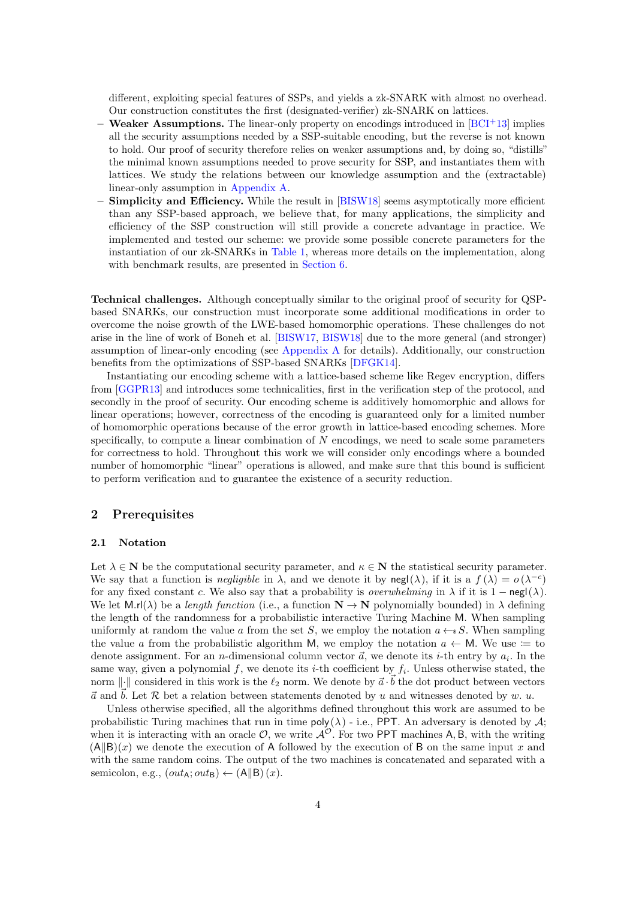different, exploiting special features of SSPs, and yields a zk-SNARK with almost no overhead. Our construction constitutes the first (designated-verifier) zk-SNARK on lattices.

- Weaker Assumptions. The linear-only property on encodings introduced in  $[BCI+13]$  $[BCI+13]$  implies all the security assumptions needed by a SSP-suitable encoding, but the reverse is not known to hold. Our proof of security therefore relies on weaker assumptions and, by doing so, "distills" the minimal known assumptions needed to prove security for SSP, and instantiates them with lattices. We study the relations between our knowledge assumption and the (extractable) linear-only assumption in [Appendix A.](#page-26-0)
- **Simplicity and Efficiency.** While the result in [\[BISW18\]](#page-24-7) seems asymptotically more efficient than any SSP-based approach, we believe that, for many applications, the simplicity and efficiency of the SSP construction will still provide a concrete advantage in practice. We implemented and tested our scheme: we provide some possible concrete parameters for the instantiation of our zk-SNARKs in [Table 1,](#page-2-1) whereas more details on the implementation, along with benchmark results, are presented in [Section 6.](#page-19-0)

Technical challenges. Although conceptually similar to the original proof of security for QSPbased SNARKs, our construction must incorporate some additional modifications in order to overcome the noise growth of the LWE-based homomorphic operations. These challenges do not arise in the line of work of Boneh et al. [\[BISW17,](#page-24-6) [BISW18\]](#page-24-7) due to the more general (and stronger) assumption of linear-only encoding (see [Appendix A](#page-26-0) for details). Additionally, our construction benefits from the optimizations of SSP-based SNARKs [\[DFGK14\]](#page-24-1).

Instantiating our encoding scheme with a lattice-based scheme like Regev encryption, differs from [\[GGPR13\]](#page-24-4) and introduces some technicalities, first in the verification step of the protocol, and secondly in the proof of security. Our encoding scheme is additively homomorphic and allows for linear operations; however, correctness of the encoding is guaranteed only for a limited number of homomorphic operations because of the error growth in lattice-based encoding schemes. More specifically, to compute a linear combination of  $N$  encodings, we need to scale some parameters for correctness to hold. Throughout this work we will consider only encodings where a bounded number of homomorphic "linear" operations is allowed, and make sure that this bound is sufficient to perform verification and to guarantee the existence of a security reduction.

## 2 Prerequisites

#### 2.1 Notation

Let  $\lambda \in \mathbf{N}$  be the computational security parameter, and  $\kappa \in \mathbf{N}$  the statistical security parameter. We say that a function is *negligible* in  $\lambda$ , and we denote it by  $\text{negl}(\lambda)$ , if it is a  $f(\lambda) = o(\lambda^{-c})$ for any fixed constant c. We also say that a probability is *overwhelming* in  $\lambda$  if it is 1 – negl( $\lambda$ ). We let  $M.rI(\lambda)$  be a length function (i.e., a function  $N \to N$  polynomially bounded) in  $\lambda$  defining the length of the randomness for a probabilistic interactive Turing Machine M. When sampling uniformly at random the value a from the set S, we employ the notation  $a \leftarrow s S$ . When sampling the value a from the probabilistic algorithm M, we employ the notation  $a \leftarrow M$ . We use := to denote assignment. For an *n*-dimensional column vector  $\vec{a}$ , we denote its *i*-th entry by  $a_i$ . In the same way, given a polynomial f, we denote its *i*-th coefficient by  $f_i$ . Unless otherwise stated, the norm  $\|\cdot\|$  considered in this work is the  $\ell_2$  norm. We denote by  $\vec{a} \cdot \vec{b}$  the dot product between vectors  $\vec{a}$  and  $\vec{b}$ . Let  $\mathcal R$  bet a relation between statements denoted by u and witnesses denoted by w. u.

Unless otherwise specified, all the algorithms defined throughout this work are assumed to be probabilistic Turing machines that run in time  $\mathsf{poly}(\lambda)$  - i.e., PPT. An adversary is denoted by A; when it is interacting with an oracle  $\mathcal{O}$ , we write  $\mathcal{A}^{\mathcal{O}}$ . For two PPT machines A, B, with the writing  $(A||B)(x)$  we denote the execution of A followed by the execution of B on the same input x and with the same random coins. The output of the two machines is concatenated and separated with a semicolon, e.g.,  $(out_{\mathsf{A}}; out_{\mathsf{B}}) \leftarrow (\mathsf{A} \|\mathsf{B}) (x)$ .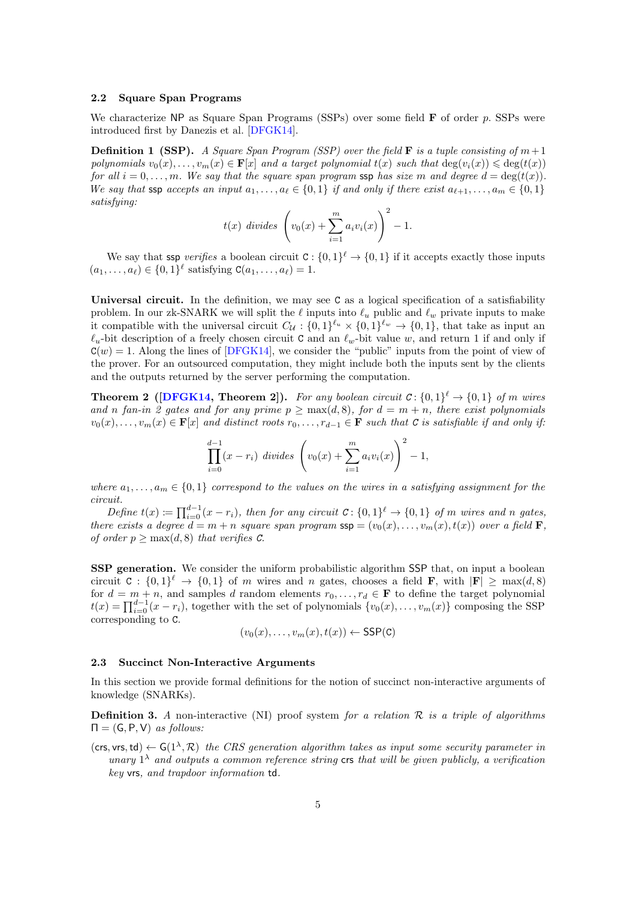#### 2.2 Square Span Programs

We characterize  $NP$  as Square Span Programs (SSPs) over some field  $F$  of order p. SSPs were introduced first by Danezis et al. [\[DFGK14\]](#page-24-1).

<span id="page-4-1"></span>**Definition 1 (SSP).** A Square Span Program (SSP) over the field **F** is a tuple consisting of  $m+1$ polynomials  $v_0(x), \ldots, v_m(x) \in \mathbf{F}[x]$  and a target polynomial  $t(x)$  such that  $\deg(v_i(x)) \leq \deg(t(x))$ for all  $i = 0, \ldots, m$ . We say that the square span program ssp has size m and degree  $d = \deg(t(x))$ . We say that ssp accepts an input  $a_1, \ldots, a_\ell \in \{0, 1\}$  if and only if there exist  $a_{\ell+1}, \ldots, a_m \in \{0, 1\}$ satisfying:

$$
t(x)
$$
 divides  $\left(v_0(x) + \sum_{i=1}^m a_i v_i(x)\right)^2 - 1.$ 

We say that ssp verifies a boolean circuit  $C: \{0,1\}^{\ell} \to \{0,1\}$  if it accepts exactly those inputs  $(a_1, ..., a_\ell) \in \{0, 1\}^\ell$  satisfying  $C(a_1, ..., a_\ell) = 1$ .

Universal circuit. In the definition, we may see C as a logical specification of a satisfiability problem. In our zk-SNARK we will split the  $\ell$  inputs into  $\ell_u$  public and  $\ell_w$  private inputs to make it compatible with the universal circuit  $C_{\mathcal{U}}: \{0,1\}^{\ell_u} \times \{0,1\}^{\ell_w} \to \{0,1\}$ , that take as input an  $\ell_u$ -bit description of a freely chosen circuit C and an  $\ell_w$ -bit value w, and return 1 if and only if  $C(w) = 1$ . Along the lines of [\[DFGK14\]](#page-24-1), we consider the "public" inputs from the point of view of the prover. For an outsourced computation, they might include both the inputs sent by the clients and the outputs returned by the server performing the computation.

<span id="page-4-0"></span>**Theorem 2** ([\[DFGK14,](#page-24-1) Theorem 2]). For any boolean circuit  $C: \{0,1\}^{\ell} \to \{0,1\}$  of m wires and n fan-in 2 gates and for any prime  $p \ge \max(d, 8)$ , for  $d = m + n$ , there exist polynomials  $v_0(x), \ldots, v_m(x) \in \mathbf{F}[x]$  and distinct roots  $r_0, \ldots, r_{d-1} \in \mathbf{F}$  such that C is satisfiable if and only if:

$$
\prod_{i=0}^{d-1} (x - r_i) \, \text{ divides } \left( v_0(x) + \sum_{i=1}^m a_i v_i(x) \right)^2 - 1,
$$

where  $a_1, \ldots, a_m \in \{0,1\}$  correspond to the values on the wires in a satisfying assignment for the circuit.

Define  $t(x) \coloneqq \prod_{i=0}^{d-1} (x - r_i)$ , then for any circuit  $C: \{0,1\}^{\ell} \to \{0,1\}$  of m wires and n gates, there exists a degree  $d = m + n$  square span program  $\textsf{ssp} = (v_0(x), \ldots, v_m(x), t(x))$  over a field **F**, of order  $p > \max(d, 8)$  that verifies C.

SSP generation. We consider the uniform probabilistic algorithm SSP that, on input a boolean circuit  $C: \{0,1\}^{\ell} \to \{0,1\}$  of m wires and n gates, chooses a field **F**, with  $|\mathbf{F}| \ge \max(d,8)$ for  $d = m + n$ , and samples d random elements  $r_0, \ldots, r_d \in \mathbf{F}$  to define the target polynomial  $t(x) = \prod_{i=0}^{d-1} (x - r_i)$ , together with the set of polynomials  $\{v_0(x), \ldots, v_m(x)\}$  composing the SSP corresponding to C.

$$
(v_0(x),\ldots,v_m(x),t(x)) \leftarrow \text{SSP}(\texttt{C})
$$

#### 2.3 Succinct Non-Interactive Arguments

In this section we provide formal definitions for the notion of succinct non-interactive arguments of knowledge (SNARKs).

**Definition 3.** A non-interactive (NI) proof system for a relation  $\mathcal{R}$  is a triple of algorithms  $\Pi = (G, P, V)$  as follows:

 $(\textsf{crs}, \textsf{vrs}, \textsf{td}) \leftarrow G(1^{\lambda}, \mathcal{R})$  the CRS generation algorithm takes as input some security parameter in unary  $1^{\lambda}$  and outputs a common reference string crs that will be given publicly, a verification key vrs, and trapdoor information td.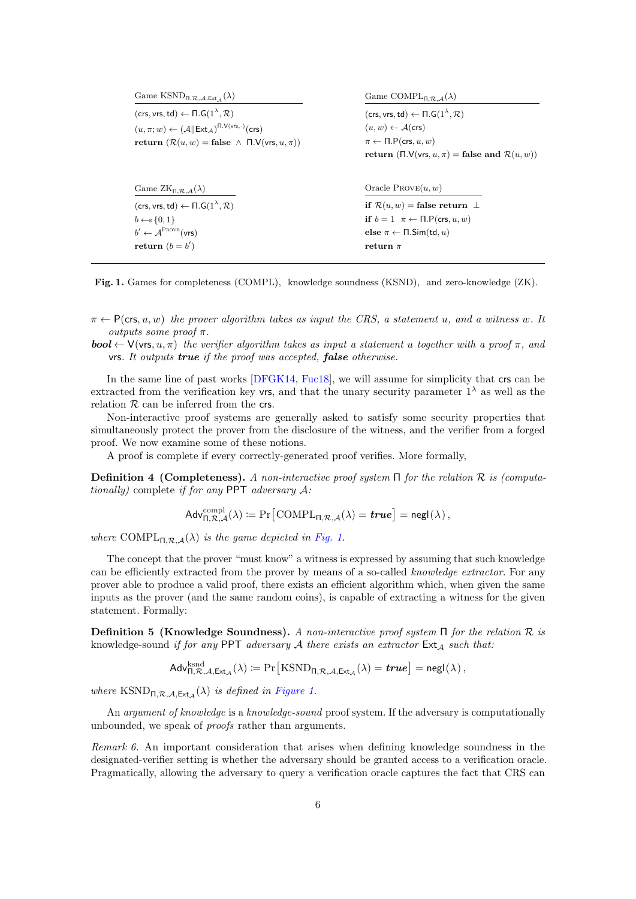| Game $KSND_{\Pi,\mathcal{R},\mathcal{A},\text{Ext}_{\mathcal{A}}}(\lambda)$                 | Game COMPL <sub>IL R</sub> $_A(\lambda)$                            |  |  |
|---------------------------------------------------------------------------------------------|---------------------------------------------------------------------|--|--|
| $(crs, vrs, td) \leftarrow \Pi.G(1^{\lambda}, \mathcal{R})$                                 | (crs, vrs, td) $\leftarrow \Pi \cdot G(1^{\lambda}, \mathcal{R})$   |  |  |
| $(u, \pi; w) \leftarrow (A  \text{Ext}_{\mathcal{A}})^{\Pi \cdot V(vrs,\cdot)}(\text{crs})$ | $(u, w) \leftarrow \mathcal{A}(\mathsf{crs})$                       |  |  |
| return $(\mathcal{R}(u, w) = \text{false} \land \Pi.\mathsf{V}(v\mathsf{rs}, u, \pi))$      | $\pi \leftarrow \Pi.\mathsf{P}(\mathsf{crs}, u, w)$                 |  |  |
|                                                                                             | return ( $\Pi$ . $V(vrs, u, \pi)$ = false and $\mathcal{R}(u, w)$ ) |  |  |
| Game $ZK_{\Pi,\mathcal{R},\mathcal{A}}(\lambda)$                                            | Oracle $PROVE(u, w)$                                                |  |  |
| $(crs, vrs, td) \leftarrow \Pi.G(1^{\lambda}, \mathcal{R})$                                 | if $\mathcal{R}(u, w)$ = false return $\perp$                       |  |  |
| $b \leftarrow s \{0, 1\}$                                                                   | if $b = 1$ $\pi \leftarrow \Pi$ . P(crs, u, w)                      |  |  |
| $b' \leftarrow \mathcal{A}^{\text{ProVE}}(\text{vrs})$                                      | else $\pi \leftarrow \Pi$ . Sim(td, u)                              |  |  |
| return $(b = b')$                                                                           |                                                                     |  |  |

<span id="page-5-0"></span>Fig. 1. Games for completeness (COMPL), knowledge soundness (KSND), and zero-knowledge (ZK).

 $\pi \leftarrow P(\text{crs}, u, w)$  the prover algorithm takes as input the CRS, a statement u, and a witness w. It outputs some proof  $\pi$ .

**bool**  $\leftarrow$  V(vrs, u,  $\pi$ ) the verifier algorithm takes as input a statement u together with a proof  $\pi$ , and vrs. It outputs true if the proof was accepted, false otherwise.

In the same line of past works [\[DFGK14,](#page-24-1) [Fuc18\]](#page-24-8), we will assume for simplicity that crs can be extracted from the verification key vrs, and that the unary security parameter  $1^{\lambda}$  as well as the relation  $R$  can be inferred from the crs.

Non-interactive proof systems are generally asked to satisfy some security properties that simultaneously protect the prover from the disclosure of the witness, and the verifier from a forged proof. We now examine some of these notions.

A proof is complete if every correctly-generated proof verifies. More formally,

**Definition 4 (Completeness).** A non-interactive proof system  $\Pi$  for the relation  $\mathcal R$  is (computationally) complete if for any PPT adversary A:

$$
\mathsf{Adv}_{\Pi,\mathcal{R},\mathcal{A}}^{\text{compl}}(\lambda) \coloneqq \Pr\big[\text{COMPL}_{\Pi,\mathcal{R},\mathcal{A}}(\lambda) = \textit{true}\big] = \mathsf{negl}(\lambda)\,,
$$

where COMPL<sub> $\Pi, \mathcal{R}, \mathcal{A}(\lambda)$  is the game depicted in [Fig. 1.](#page-5-0)</sub>

The concept that the prover "must know" a witness is expressed by assuming that such knowledge can be efficiently extracted from the prover by means of a so-called knowledge extractor. For any prover able to produce a valid proof, there exists an efficient algorithm which, when given the same inputs as the prover (and the same random coins), is capable of extracting a witness for the given statement. Formally:

Definition 5 (Knowledge Soundness). A non-interactive proof system  $\Pi$  for the relation  $\mathcal R$  is knowledge-sound if for any PPT adversary  $A$  there exists an extractor  $Ext_A$  such that:

 $\mathsf{Adv}_{\mathsf{\Pi},\mathcal{R},\mathcal{A},\mathsf{Ext}_{\mathcal{A}}}^{\mathrm{ksnd}}(\lambda) \coloneqq \Pr\big[\mathrm{KSND}_{\mathsf{\Pi},\mathcal{R},\mathcal{A},\mathsf{Ext}_{\mathcal{A}}}(\lambda) = \bm{true} \big] = \mathsf{negl}(\lambda)\,,$ 

where  $\text{KSND}_{\Pi,\mathcal{R},\mathcal{A},\text{Ext}_{\mathcal{A}}}(\lambda)$  is defined in [Figure 1.](#page-5-0)

An *argument of knowledge* is a *knowledge-sound* proof system. If the adversary is computationally unbounded, we speak of proofs rather than arguments.

<span id="page-5-1"></span>Remark 6. An important consideration that arises when defining knowledge soundness in the designated-verifier setting is whether the adversary should be granted access to a verification oracle. Pragmatically, allowing the adversary to query a verification oracle captures the fact that CRS can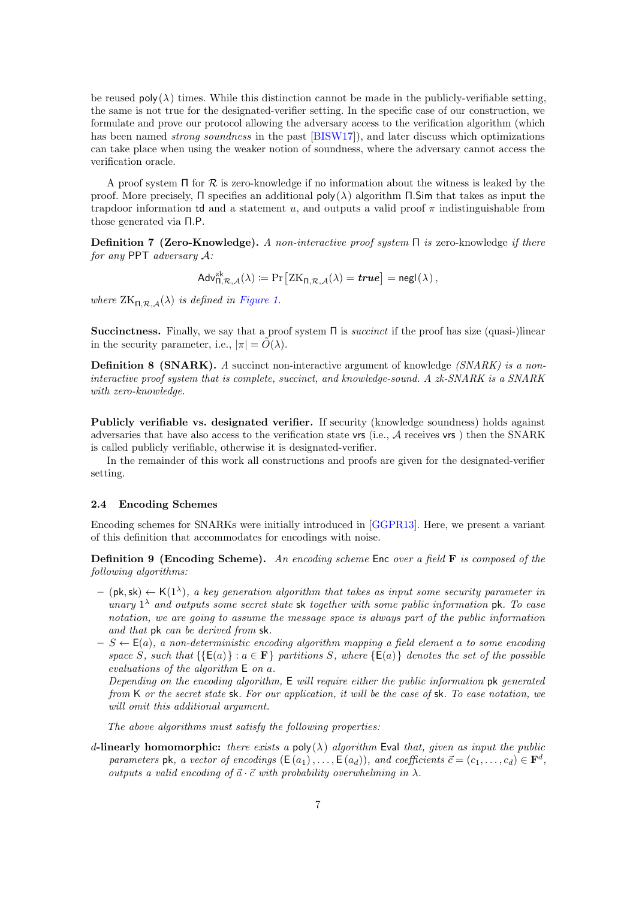be reused  $poly(\lambda)$  times. While this distinction cannot be made in the publicly-verifiable setting, the same is not true for the designated-verifier setting. In the specific case of our construction, we formulate and prove our protocol allowing the adversary access to the verification algorithm (which has been named *strong soundness* in the past [\[BISW17\]](#page-24-6)), and later discuss which optimizations can take place when using the weaker notion of soundness, where the adversary cannot access the verification oracle.

A proof system  $\Pi$  for  $\mathcal R$  is zero-knowledge if no information about the witness is leaked by the proof. More precisely, Π specifies an additional  $poly(λ)$  algorithm Π.Sim that takes as input the trapdoor information to and a statement u, and outputs a valid proof  $\pi$  indistinguishable from those generated via Π.P.

Definition 7 (Zero-Knowledge). A non-interactive proof system  $\Pi$  is zero-knowledge if there for any PPT adversary A:

$$
\mathsf{Adv}_{\Pi,\mathcal{R},\mathcal{A}}^{\operatorname{zk}}(\lambda) \coloneqq \Pr\big[\mathrm{ZK}_{\Pi,\mathcal{R},\mathcal{A}}(\lambda) = \textit{true}\big] = \mathsf{negl}(\lambda)\,,
$$

where  $ZK_{\Pi,\mathcal{R},\mathcal{A}}(\lambda)$  is defined in [Figure 1.](#page-5-0)

Succinctness. Finally, we say that a proof system Π is succinct if the proof has size (quasi-)linear in the security parameter, i.e.,  $|\pi| = \tilde{O}(\lambda)$ .

**Definition 8 (SNARK).** A succinct non-interactive argument of knowledge  $(SNARK)$  is a noninteractive proof system that is complete, succinct, and knowledge-sound. A zk-SNARK is a SNARK with zero-knowledge.

Publicly verifiable vs. designated verifier. If security (knowledge soundness) holds against adversaries that have also access to the verification state vrs (i.e., A receives vrs ) then the SNARK is called publicly verifiable, otherwise it is designated-verifier.

In the remainder of this work all constructions and proofs are given for the designated-verifier setting.

## 2.4 Encoding Schemes

Encoding schemes for SNARKs were initially introduced in [\[GGPR13\]](#page-24-4). Here, we present a variant of this definition that accommodates for encodings with noise.

<span id="page-6-0"></span>**Definition 9 (Encoding Scheme).** An encoding scheme Enc over a field  $\bf{F}$  is composed of the following algorithms:

- $-$  (pk, sk)  $\leftarrow$  K(1<sup> $\lambda$ </sup>), a key generation algorithm that takes as input some security parameter in unary  $1^{\lambda}$  and outputs some secret state sk together with some public information pk. To ease notation, we are going to assume the message space is always part of the public information and that pk can be derived from sk.
- $-S \leftarrow E(a)$ , a non-deterministic encoding algorithm mapping a field element a to some encoding space S, such that  $\{E(a)\}\,:\,a\in\mathbf{F}\}\$  partitions S, where  $\{E(a)\}\$  denotes the set of the possible evaluations of the algorithm E on a.

Depending on the encoding algorithm, E will require either the public information pk generated from K or the secret state sk. For our application, it will be the case of sk. To ease notation, we will omit this additional argument.

The above algorithms must satisfy the following properties:

d-linearly homomorphic: there exists a poly( $\lambda$ ) algorithm Eval that, given as input the public parameters pk, a vector of encodings  $(E(a_1),...,E(a_d))$ , and coefficients  $\vec{c} = (c_1,...,c_d) \in \mathbf{F}^d$ , outputs a valid encoding of  $\vec{a} \cdot \vec{c}$  with probability overwhelming in  $\lambda$ .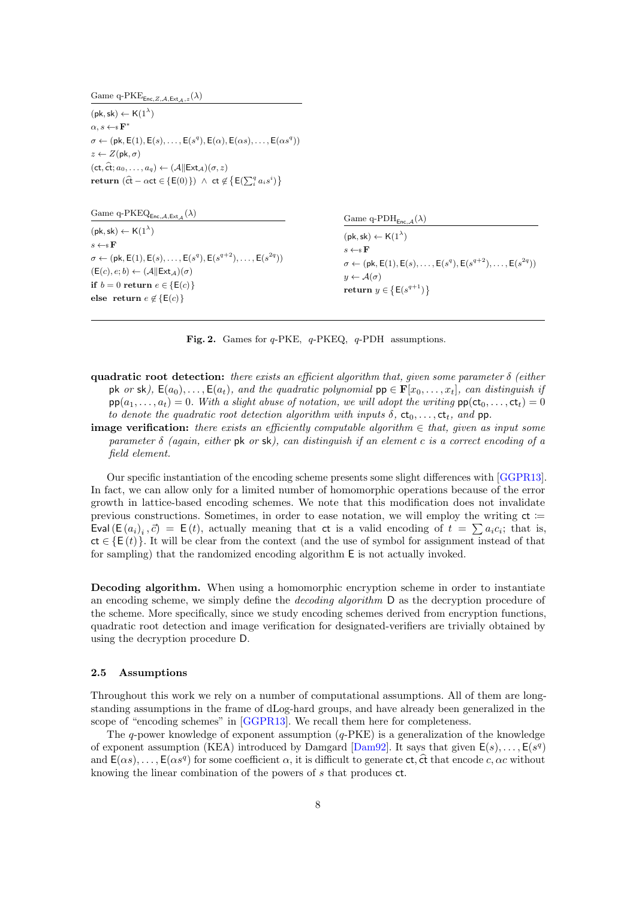Game q-PKE<sub>Enc,Z,A,Ext<sub>A,z</sub>( $\lambda$ )</sub>

 $(\mathsf{pk},\mathsf{sk}) \leftarrow \mathsf{K}(1^{\lambda})$  $\alpha, s \leftarrow \in \mathbf{F}$ ∗  $\sigma \leftarrow (\mathsf{pk}, \mathsf{E}(1), \mathsf{E}(s), \ldots, \mathsf{E}(s^q), \mathsf{E}(\alpha), \mathsf{E}(\alpha s), \ldots, \mathsf{E}(\alpha s^q))$  $z \leftarrow Z(\mathsf{pk}, \sigma)$  $(ct, \hat{ct}; a_0, \ldots, a_q) \leftarrow (A \| \mathsf{Ext}_{\mathcal{A}})(\sigma, z)$ return  $(\hat{\mathsf{ct}} - \alpha \mathsf{ct} \in \{ \mathsf{E}(0) \}) \ \wedge \ \mathsf{ct} \not\in \{ \mathsf{E}(\sum_{i}^{q} a_i s^i) \}$ 

| Game q-PKEQ <sub>Enc, A, Ext<sub>A</sub>(<math>\lambda</math>)</sub>                                                                | Game q-PDH <sub>Enc <math>_A(\lambda)</math></sub>                                                                                                                     |
|-------------------------------------------------------------------------------------------------------------------------------------|------------------------------------------------------------------------------------------------------------------------------------------------------------------------|
| $(\mathsf{pk}, \mathsf{sk}) \leftarrow \mathsf{K}(1^{\lambda})$<br>$s \leftarrow \s \mathbf{F}$                                     | $(\mathsf{pk}, \mathsf{sk}) \leftarrow \mathsf{K}(1^{\lambda})$                                                                                                        |
| $\sigma \leftarrow (pk, E(1), E(s), \ldots, E(s^q), E(s^{q+2}), \ldots, E(s^{2q}))$<br>$(E(c), e; b) \leftarrow (A  Ext_A)(\sigma)$ | $s \leftarrow s \mathbf{F}$<br>$\sigma \leftarrow (\mathsf{pk}, \mathsf{E}(1), \mathsf{E}(s), \dots, \mathsf{E}(s^q), \mathsf{E}(s^{q+2}), \dots, \mathsf{E}(s^{2q}))$ |
| if $b=0$ return $e \in \{E(c)\}\;$                                                                                                  | $y \leftarrow \mathcal{A}(\sigma)$<br>return $y \in \{E(s^{q+1})\}\$                                                                                                   |
| else return $e \notin \{E(c)\}\$                                                                                                    |                                                                                                                                                                        |

<span id="page-7-0"></span>Fig. 2. Games for  $q$ -PKE,  $q$ -PKEQ,  $q$ -PDH assumptions.

quadratic root detection: there exists an efficient algorithm that, given some parameter  $\delta$  (either pk or sk),  $E(a_0), \ldots, E(a_t)$ , and the quadratic polynomial  $pp \in F[x_0, \ldots, x_t]$ , can distinguish if  $pp(a_1, \ldots, a_t) = 0$ . With a slight abuse of notation, we will adopt the writing  $pp(ct_0, \ldots, ct_t) = 0$ to denote the quadratic root detection algorithm with inputs  $\delta$ ,  $ct_0$ , ...,  $ct_t$ , and pp.

**image verification:** there exists an efficiently computable algorithm  $\in$  that, given as input some parameter  $\delta$  (again, either pk or sk), can distinguish if an element c is a correct encoding of a field element.

Our specific instantiation of the encoding scheme presents some slight differences with [\[GGPR13\]](#page-24-4). In fact, we can allow only for a limited number of homomorphic operations because of the error growth in lattice-based encoding schemes. We note that this modification does not invalidate previous constructions. Sometimes, in order to ease notation, we will employ the writing  $ct :=$ Eval  $(E(a_i)_i, \vec{c}) = E(t)$ , actually meaning that ct is a valid encoding of  $t = \sum a_i c_i$ ; that is,  $ct \in \{E(t)\}\.$  It will be clear from the context (and the use of symbol for assignment instead of that for sampling) that the randomized encoding algorithm E is not actually invoked.

Decoding algorithm. When using a homomorphic encryption scheme in order to instantiate an encoding scheme, we simply define the *decoding algorithm* D as the decryption procedure of the scheme. More specifically, since we study encoding schemes derived from encryption functions, quadratic root detection and image verification for designated-verifiers are trivially obtained by using the decryption procedure D.

## 2.5 Assumptions

Throughout this work we rely on a number of computational assumptions. All of them are longstanding assumptions in the frame of dLog-hard groups, and have already been generalized in the scope of "encoding schemes" in [\[GGPR13\]](#page-24-4). We recall them here for completeness.

The q-power knowledge of exponent assumption  $(q-PKE)$  is a generalization of the knowledge of exponent assumption (KEA) introduced by Damgard [\[Dam92\]](#page-24-9). It says that given  $E(s), \ldots, E(s^q)$ and  $E(\alpha s)$ , ...,  $E(\alpha s^q)$  for some coefficient  $\alpha$ , it is difficult to generate  $ct$ ,  $\hat{ct}$  that encode c,  $\alpha c$  without knowing the linear combination of the powers of s that produces ct.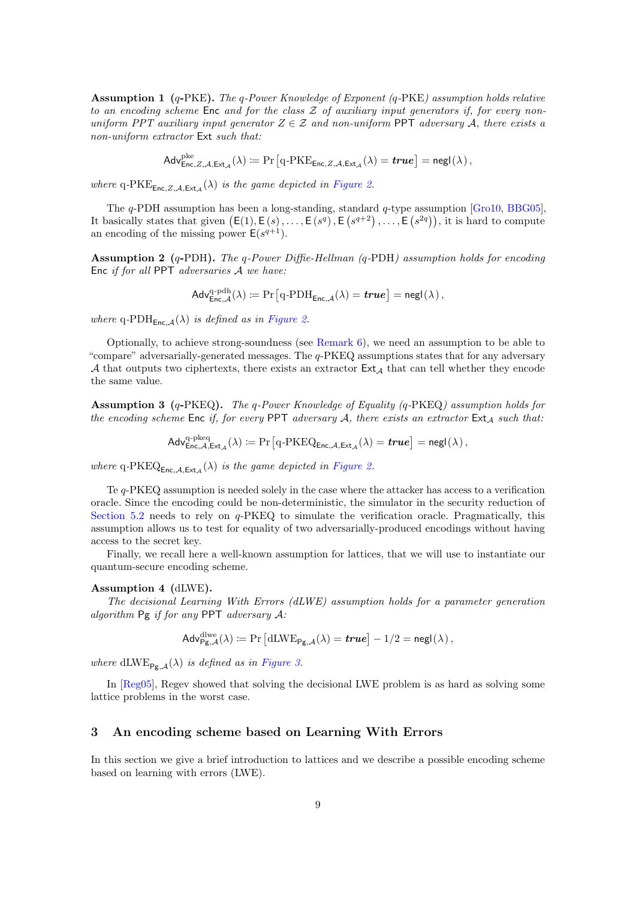Assumption 1 (q-PKE). The q-Power Knowledge of Exponent (q-PKE) assumption holds relative to an encoding scheme  $Enc$  and for the class  $Z$  of auxiliary input generators if, for every nonuniform PPT auxiliary input generator  $Z \in \mathcal{Z}$  and non-uniform PPT adversary A, there exists a non-uniform extractor Ext such that:

 $\mathsf{Adv}_{\mathsf{Enc},Z,\mathcal{A},\mathsf{Ext}_{\mathcal{A}}}^{\mathsf{pke}}(\lambda) \coloneqq \Pr\big[\textsf{q-PKE}_{\mathsf{Enc},Z,\mathcal{A},\mathsf{Ext}_{\mathcal{A}}}(\lambda) = \pmb{true} \big] = \mathsf{negl}(\lambda)\,,$ 

where q-PKE<sub>Enc,Z,A,Ext<sub>A</sub>( $\lambda$ ) is the game depicted in [Figure 2.](#page-7-0)</sub>

The q-PDH assumption has been a long-standing, standard q-type assumption [\[Gro10,](#page-24-3) [BBG05\]](#page-23-11), It basically states that given  $(E(1), E(s), \ldots, E(s^q), E(s^{q+2}), \ldots, E(s^{2q})),$  it is hard to compute an encoding of the missing power  $E(s^{q+1})$ .

**Assumption 2** (q-PDH). The q-Power Diffie-Hellman (q-PDH) assumption holds for encoding Enc if for all PPT adversaries  $A$  we have:

$$
\mathsf{Adv}^{\operatorname{q-pdh}}_{\mathsf{Enc},\mathcal{A}}(\lambda) \coloneqq \Pr\big[\operatorname{q-PDH}_{\mathsf{Enc},\mathcal{A}}(\lambda) = \textit{true}\big] = \mathsf{negl}(\lambda)\,,
$$

where q-PDH<sub>Enc,A</sub>( $\lambda$ ) is defined as in [Figure 2.](#page-7-0)

Optionally, to achieve strong-soundness (see [Remark 6\)](#page-5-1), we need an assumption to be able to "compare" adversarially-generated messages. The q-PKEQ assumptions states that for any adversary A that outputs two ciphertexts, there exists an extractor  $Ext_A$  that can tell whether they encode the same value.

Assumption 3 (q-PKEQ). The q-Power Knowledge of Equality (q-PKEQ) assumption holds for the encoding scheme Enc if, for every PPT adversary  $A$ , there exists an extractor  $Ext_A$  such that:

$$
\mathsf{Adv}^{\mathrm{q\text{-}pkeq}}_{\mathsf{Enc},\mathcal{A},\mathsf{Ext}_{\mathcal{A}}}(\lambda) \coloneqq \Pr\big[\mathrm{q\text{-}PKEQ}_{\mathsf{Enc},\mathcal{A},\mathsf{Ext}_{\mathcal{A}}}(\lambda) = \textit{true}\big] = \mathsf{negl}(\lambda)\,,
$$

where q-PKEQ<sub>Enc,A,Ext<sub>A</sub>( $\lambda$ ) is the game depicted in [Figure 2.](#page-7-0)</sub>

Te q-PKEQ assumption is needed solely in the case where the attacker has access to a verification oracle. Since the encoding could be non-deterministic, the simulator in the security reduction of [Section 5.2](#page-16-0) needs to rely on q-PKEQ to simulate the verification oracle. Pragmatically, this assumption allows us to test for equality of two adversarially-produced encodings without having access to the secret key.

Finally, we recall here a well-known assumption for lattices, that we will use to instantiate our quantum-secure encoding scheme.

#### Assumption 4 (dLWE).

The decisional Learning With Errors (dLWE) assumption holds for a parameter generation algorithm  $Pg$  if for any PPT adversary  $A$ :

$$
\mathsf{Adv}_{\mathsf{Pg},\mathcal{A}}^{\mathrm{dlwe}}(\lambda) \coloneqq \Pr\left[\mathrm{dLWE}_{\mathsf{Pg},\mathcal{A}}(\lambda) = \textit{true}\right] - 1/2 = \mathsf{negl}(\lambda),
$$

where dLWE<sub>Pg,A</sub>( $\lambda$ ) is defined as in [Figure 3.](#page-9-0)

In [\[Reg05\]](#page-25-7), Regev showed that solving the decisional LWE problem is as hard as solving some lattice problems in the worst case.

## <span id="page-8-0"></span>3 An encoding scheme based on Learning With Errors

In this section we give a brief introduction to lattices and we describe a possible encoding scheme based on learning with errors (LWE).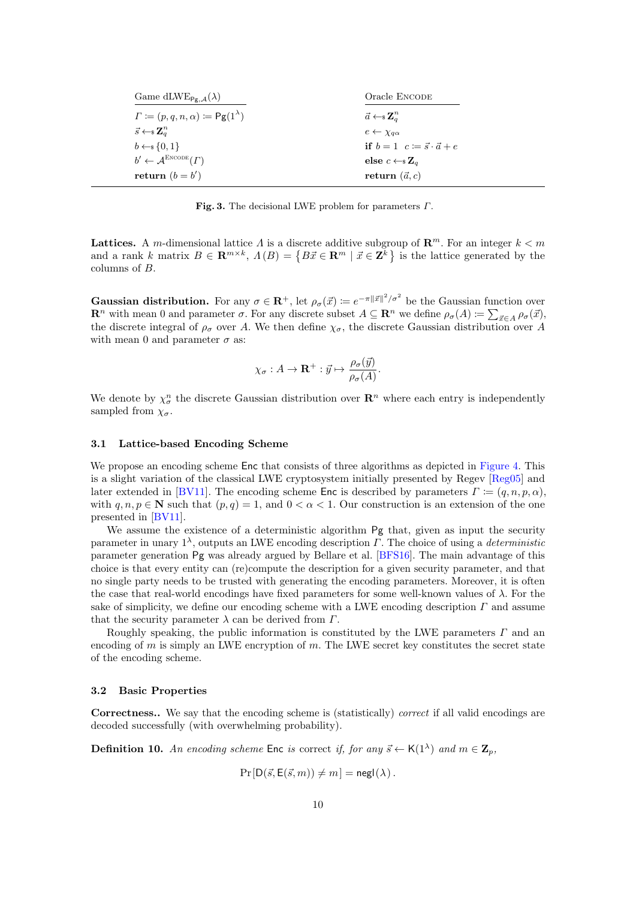| Game dLWE <sub>Pg, <math>A(\lambda)</math></sub>          | Oracle ENCODE                                    |
|-----------------------------------------------------------|--------------------------------------------------|
| $\Gamma := (p, q, n, \alpha) := \mathsf{Pg}(1^{\lambda})$ | $\vec{a} \leftarrow \s \mathbf{Z}_a^n$           |
| $\vec{s} \leftarrow \s \mathbf{Z}_a^n$                    | $e \leftarrow \chi_{a\alpha}$                    |
| $b \leftarrow s \{0, 1\}$                                 | if $b=1$ $c \coloneqq \vec{s} \cdot \vec{a} + e$ |
| $b' \leftarrow \mathcal{A}^{\text{ENCODE}}(\Gamma)$       | else $c \leftarrow \s Z_a$                       |
| return $(b = b')$                                         | return $(\vec{a}, c)$                            |

<span id="page-9-0"></span>Fig. 3. The decisional LWE problem for parameters  $\Gamma$ .

Lattices. A m-dimensional lattice  $\Lambda$  is a discrete additive subgroup of  $\mathbb{R}^m$ . For an integer  $k < m$ and a rank k matrix  $B \in \mathbf{R}^{m \times k}$ ,  $\Lambda(B) = \{ B\vec{x} \in \mathbf{R}^m \mid \vec{x} \in \mathbf{Z}^k \}$  is the lattice generated by the columns of B.

**Gaussian distribution.** For any  $\sigma \in \mathbb{R}^+$ , let  $\rho_\sigma(\vec{x}) \coloneqq e^{-\pi ||\vec{x}||^2/\sigma^2}$  be the Gaussian function over  $\mathbf{R}^n$  with mean 0 and parameter  $\sigma$ . For any discrete subset  $A \subseteq \mathbf{R}^n$  we define  $\rho_{\sigma}(A) := \sum_{\vec{x} \in A} \rho_{\sigma}(\vec{x})$ , the discrete integral of  $\rho_{\sigma}$  over A. We then define  $\chi_{\sigma}$ , the discrete Gaussian distribution over A with mean 0 and parameter  $\sigma$  as:

$$
\chi_{\sigma}: A \to \mathbf{R}^+ : \vec{y} \mapsto \frac{\rho_{\sigma}(\vec{y})}{\rho_{\sigma}(A)}.
$$

We denote by  $\chi_{\sigma}^n$  the discrete Gaussian distribution over  $\mathbb{R}^n$  where each entry is independently sampled from  $\chi_{\sigma}$ .

#### 3.1 Lattice-based Encoding Scheme

We propose an encoding scheme Enc that consists of three algorithms as depicted in [Figure 4.](#page-10-0) This is a slight variation of the classical LWE cryptosystem initially presented by Regev [\[Reg05\]](#page-25-7) and later extended in [\[BV11\]](#page-24-10). The encoding scheme Enc is described by parameters  $\Gamma := (q, n, p, \alpha)$ , with  $q, n, p \in \mathbb{N}$  such that  $(p, q) = 1$ , and  $0 < \alpha < 1$ . Our construction is an extension of the one presented in [\[BV11\]](#page-24-10).

We assume the existence of a deterministic algorithm Pg that, given as input the security parameter in unary  $1^{\lambda}$ , outputs an LWE encoding description  $\Gamma$ . The choice of using a *deterministic* parameter generation Pg was already argued by Bellare et al. [\[BFS16\]](#page-24-11). The main advantage of this choice is that every entity can (re)compute the description for a given security parameter, and that no single party needs to be trusted with generating the encoding parameters. Moreover, it is often the case that real-world encodings have fixed parameters for some well-known values of  $\lambda$ . For the sake of simplicity, we define our encoding scheme with a LWE encoding description  $\Gamma$  and assume that the security parameter  $\lambda$  can be derived from  $\Gamma$ .

Roughly speaking, the public information is constituted by the LWE parameters  $\Gamma$  and an encoding of m is simply an LWE encryption of m. The LWE secret key constitutes the secret state of the encoding scheme.

#### 3.2 Basic Properties

Correctness.. We say that the encoding scheme is (statistically) correct if all valid encodings are decoded successfully (with overwhelming probability).

**Definition 10.** An encoding scheme Enc is correct if, for any  $\vec{s} \leftarrow K(1^{\lambda})$  and  $m \in \mathbb{Z}_p$ ,

 $Pr[D(\vec{s}, E(\vec{s}, m)) \neq m] = negl(\lambda).$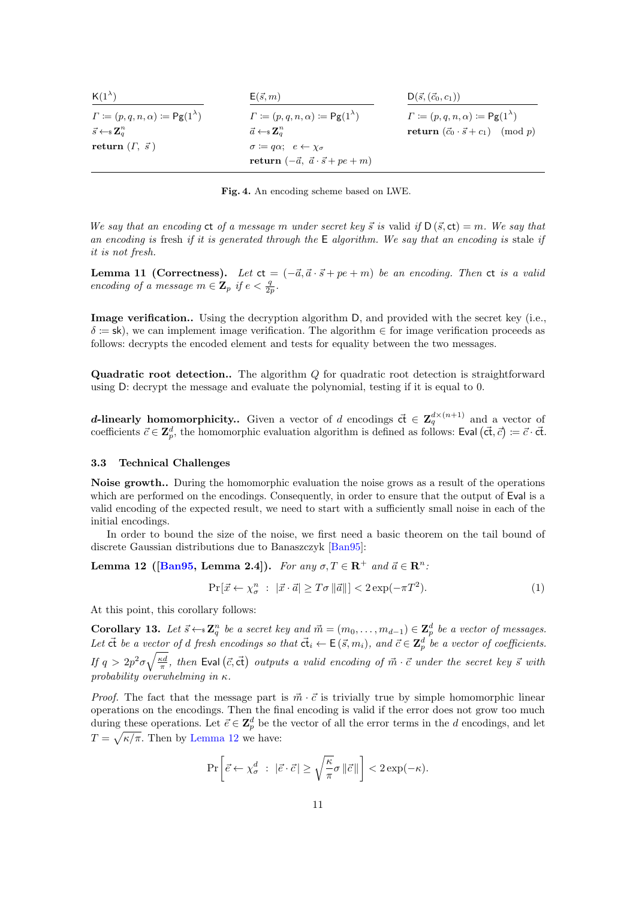| $K(1^{\lambda})$                                          | $E(\vec{s},m)$                                               | $D(\vec{s}, (\vec{c}_0, c_1))$                           |
|-----------------------------------------------------------|--------------------------------------------------------------|----------------------------------------------------------|
| $\Gamma := (p, q, n, \alpha) := \mathsf{Pg}(1^{\lambda})$ | $\Gamma := (p, q, n, \alpha) := \mathsf{Pg}(1^{\lambda})$    | $\Gamma := (p,q,n,\alpha) := \mathsf{Pg}(1^{\lambda})$   |
| $\vec{s} \leftarrow \s \mathbf{Z}_a^n$                    | $\vec{a} \leftarrow \s \mathbf{Z}_a^n$                       | <b>return</b> $(\vec{c}_0 \cdot \vec{s} + c_1) \pmod{p}$ |
| return $(\Gamma, \vec{s})$                                | $\sigma \coloneqq q\alpha; \ \ e \leftarrow \gamma_{\sigma}$ |                                                          |
|                                                           | return $(-\vec{a}, \vec{a} \cdot \vec{s} + pe + m)$          |                                                          |

<span id="page-10-0"></span>Fig. 4. An encoding scheme based on LWE.

We say that an encoding  $ct$  of a message m under secret key  $\vec{s}$  is valid if  $D(\vec{s}, ct) = m$ . We say that an encoding is fresh if it is generated through the  $E$  algorithm. We say that an encoding is stale if it is not fresh.

<span id="page-10-2"></span>Lemma 11 (Correctness). Let  $ct = (-\vec{a}, \vec{a} \cdot \vec{s} + pe + m)$  be an encoding. Then ct is a valid encoding of a message  $m \in \mathbf{Z}_p$  if  $e < \frac{q}{2p}$ .

Image verification.. Using the decryption algorithm D, and provided with the secret key (i.e.,  $\delta = \mathsf{sk}$ , we can implement image verification. The algorithm  $\in$  for image verification proceeds as follows: decrypts the encoded element and tests for equality between the two messages.

Quadratic root detection.. The algorithm Q for quadratic root detection is straightforward using D: decrypt the message and evaluate the polynomial, testing if it is equal to 0.

**d-linearly homomorphicity..** Given a vector of d encodings  $\vec{ct} \in \mathbb{Z}_q^{d \times (n+1)}$  and a vector of coefficients  $\vec{c} \in \mathbf{Z}_{p}^{d}$ , the homomorphic evaluation algorithm is defined as follows: Eval  $(\vec{ct}, \vec{c}) \coloneqq \vec{c} \cdot \vec{ct}$ .

#### 3.3 Technical Challenges

Noise growth.. During the homomorphic evaluation the noise grows as a result of the operations which are performed on the encodings. Consequently, in order to ensure that the output of Eval is a valid encoding of the expected result, we need to start with a sufficiently small noise in each of the initial encodings.

In order to bound the size of the noise, we first need a basic theorem on the tail bound of discrete Gaussian distributions due to Banaszczyk [\[Ban95\]](#page-23-12):

Lemma 12 ([\[Ban95,](#page-23-12) Lemma 2.4]). For any  $\sigma, T \in \mathbb{R}^+$  and  $\vec{a} \in \mathbb{R}^n$ :

<span id="page-10-3"></span><span id="page-10-1"></span>
$$
\Pr[\vec{x} \leftarrow \chi_{\sigma}^n : |\vec{x} \cdot \vec{a}| \ge T\sigma ||\vec{a}||] < 2\exp(-\pi T^2). \tag{1}
$$

At this point, this corollary follows:

**Corollary 13.** Let  $\vec{s} \leftarrow s \mathbf{Z}_q^n$  be a secret key and  $\vec{m} = (m_0, \ldots, m_{d-1}) \in \mathbf{Z}_p^d$  be a vector of messages. Let  $\vec{ct}$  be a vector of d fresh encodings so that  $\vec{ct}_i \leftarrow E(\vec{s}, m_i)$ , and  $\vec{c} \in \mathbf{Z}_p^d$  be a vector of coefficients. If  $q > 2p^2\sigma\sqrt{\frac{\kappa d}{\pi}}$ , then Eval  $(\vec{c}, \vec{ct})$  outputs a valid encoding of  $\vec{m} \cdot \vec{c}$  under the secret key  $\vec{s}$  with probability overwhelming in κ.

*Proof.* The fact that the message part is  $\vec{m} \cdot \vec{c}$  is trivially true by simple homomorphic linear operations on the encodings. Then the final encoding is valid if the error does not grow too much during these operations. Let  $\vec{e} \in \mathbf{Z}_{p}^{d}$  be the vector of all the error terms in the d encodings, and let  $T = \sqrt{\kappa/\pi}$ . Then by [Lemma 12](#page-10-1) we have:

$$
\Pr\left[\vec{e} \leftarrow \chi_{\sigma}^d \; : \; |\vec{e} \cdot \vec{c}| \ge \sqrt{\frac{\kappa}{\pi}} \sigma \, \|\vec{c}\|\right] < 2\exp(-\kappa).
$$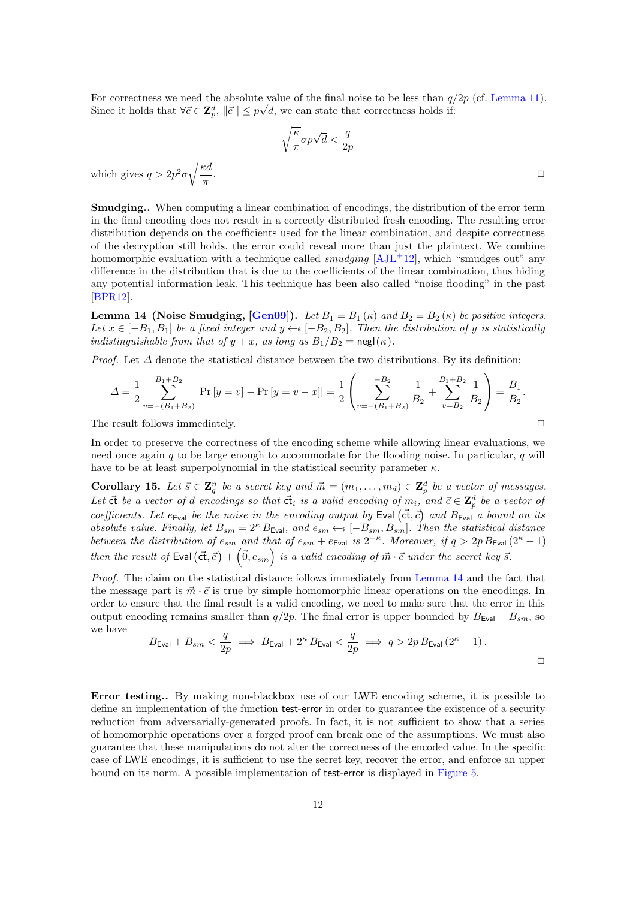For correctness we need the absolute value of the final noise to be less than  $q/2p$  (cf. [Lemma 11\)](#page-10-2). Since it holds that  $\forall \vec{c} \in \mathbf{Z}_p^d$ ,  $\|\vec{c}\| \leq p\sqrt{d}$ , we can state that correctness holds if:

$$
\sqrt{\frac{\kappa}{\pi}}\sigma p\sqrt{d} < \frac{q}{2p}
$$
\nwhich gives  $q > 2p^2 \sigma \sqrt{\frac{\kappa d}{\pi}}$ .

\n
$$
\Box
$$

Smudging.. When computing a linear combination of encodings, the distribution of the error term in the final encoding does not result in a correctly distributed fresh encoding. The resulting error distribution depends on the coefficients used for the linear combination, and despite correctness of the decryption still holds, the error could reveal more than just the plaintext. We combine homomorphic evaluation with a technique called *smudging*  $[AJ<sub>L</sub>+12]$ , which "smudges out" any difference in the distribution that is due to the coefficients of the linear combination, thus hiding any potential information leak. This technique has been also called "noise flooding" in the past [\[BPR12\]](#page-24-12).

<span id="page-11-0"></span>**Lemma 14 (Noise Smudging, [\[Gen09\]](#page-24-13)).** Let  $B_1 = B_1(\kappa)$  and  $B_2 = B_2(\kappa)$  be positive integers. Let  $x \in [-B_1, B_1]$  be a fixed integer and  $y \leftarrow s [-B_2, B_2]$ . Then the distribution of y is statistically indistinguishable from that of  $y + x$ , as long as  $B_1/B_2 = \text{negl}(\kappa)$ .

*Proof.* Let  $\Delta$  denote the statistical distance between the two distributions. By its definition:

$$
\Delta = \frac{1}{2} \sum_{v=-(B_1+B_2)}^{B_1+B_2} |\Pr[y=v] - \Pr[y=v-x]| = \frac{1}{2} \left( \sum_{v=-(B_1+B_2)}^{-B_2} \frac{1}{B_2} + \sum_{v=B_2}^{B_1+B_2} \frac{1}{B_2} \right) = \frac{B_1}{B_2}.
$$

The result follows immediately.  $\Box$ 

In order to preserve the correctness of the encoding scheme while allowing linear evaluations, we need once again q to be large enough to accommodate for the flooding noise. In particular, q will have to be at least superpolynomial in the statistical security parameter  $\kappa$ .

<span id="page-11-1"></span>**Corollary 15.** Let  $\vec{s} \in \mathbb{Z}_q^n$  be a secret key and  $\vec{m} = (m_1, \ldots, m_d) \in \mathbb{Z}_p^d$  be a vector of messages. Let  $\vec{c}$  be a vector of d encodings so that  $\vec{c}$  is a valid encoding of  $m_i$ , and  $\vec{c} \in \mathbf{Z}_p^d$  be a vector of coefficients. Let  $e_{\text{Eval}}$  be the noise in the encoding output by Eval  $(\vec{ct}, \vec{c})$  and  $B_{\text{Eval}}$  a bound on its absolute value. Finally, let  $B_{sm} = 2^{\kappa} B_{\text{Eval}}$ , and  $e_{sm} \leftarrow s [-B_{sm}, B_{sm}]$ . Then the statistical distance between the distribution of  $e_{sm}$  and that of  $e_{sm} + e_{Eval}$  is  $2^{-\kappa}$ . Moreover, if  $q > 2p B_{Eval}(2^{\kappa} + 1)$ then the result of Eval  $(\vec{ct}, \vec{c}) + (\vec{0}, e_{sm})$  is a valid encoding of  $\vec{m} \cdot \vec{c}$  under the secret key  $\vec{s}$ .

Proof. The claim on the statistical distance follows immediately from [Lemma 14](#page-11-0) and the fact that the message part is  $\vec{m} \cdot \vec{c}$  is true by simple homomorphic linear operations on the encodings. In order to ensure that the final result is a valid encoding, we need to make sure that the error in this output encoding remains smaller than  $q/2p$ . The final error is upper bounded by  $B_{\text{Eval}} + B_{sm}$ , so we have

$$
B_{\text{Eval}} + B_{sm} < \frac{q}{2p} \implies B_{\text{Eval}} + 2^{\kappa} B_{\text{Eval}} < \frac{q}{2p} \implies q > 2p \, B_{\text{Eval}} \left( 2^{\kappa} + 1 \right).
$$

Error testing.. By making non-blackbox use of our LWE encoding scheme, it is possible to define an implementation of the function test-error in order to guarantee the existence of a security reduction from adversarially-generated proofs. In fact, it is not sufficient to show that a series of homomorphic operations over a forged proof can break one of the assumptions. We must also guarantee that these manipulations do not alter the correctness of the encoded value. In the specific case of LWE encodings, it is sufficient to use the secret key, recover the error, and enforce an upper bound on its norm. A possible implementation of test-error is displayed in [Figure 5.](#page-12-0)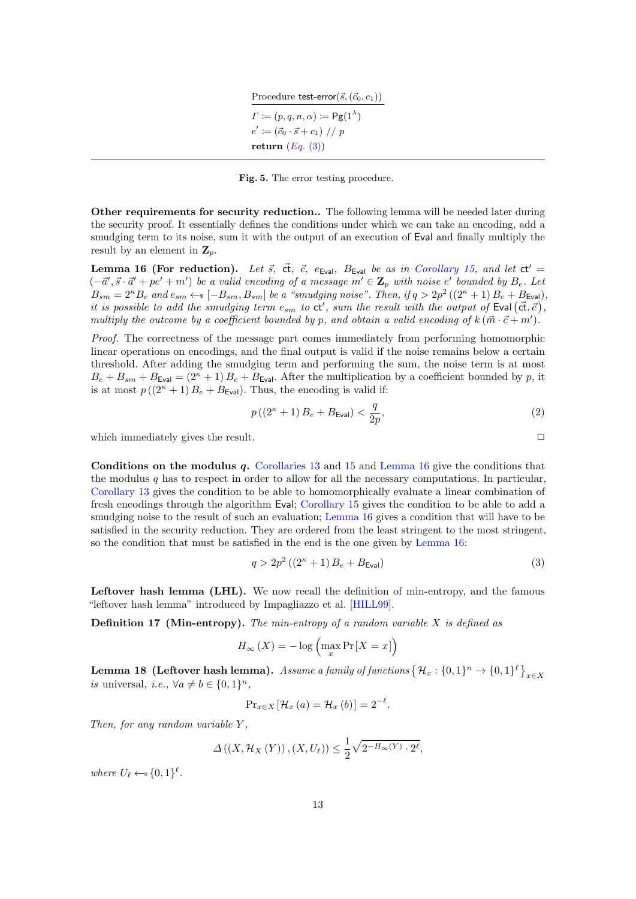Procedure test-error<br>(  $\vec{s},(\vec{c}_0, c_1))$  $\Gamma \coloneqq (p, q, n, \alpha) \coloneqq \mathsf{Pg}(1^{\lambda})$  $e' \coloneqq (\vec{c}_0 \cdot \vec{s} + c_1) / p$ return  $(Eq. (3))$  $(Eq. (3))$  $(Eq. (3))$ 

<span id="page-12-0"></span>Fig. 5. The error testing procedure.

Other requirements for security reduction.. The following lemma will be needed later during the security proof. It essentially defines the conditions under which we can take an encoding, add a smudging term to its noise, sum it with the output of an execution of Eval and finally multiply the result by an element in  $\mathbf{Z}_n$ .

<span id="page-12-2"></span>Lemma 16 (For reduction). Let  $\vec{s}$ ,  $\vec{c}$ ,  $\vec{c}$ ,  $e_{Eval}$ ,  $B_{Eval}$  be as in [Corollary 15,](#page-11-1) and let ct' =  $(-\vec{a}', \vec{s} \cdot \vec{a}' + pe' + m')$  be a valid encoding of a message  $m' \in \mathbf{Z}_p$  with noise e' bounded by  $B_e$ . Let  $B_{sm} = 2^{\kappa} B_e$  and  $e_{sm} \leftarrow s [-B_{sm}, B_{sm}]$  be a "smudging noise". Then, if  $q > 2p^2 ((2^{\kappa} + 1) B_e + B_{\text{Eval}})$ , it is possible to add the smudging term  $e_{sm}$  to  $ct'$ , sum the result with the output of Eval  $(\vec{ct}, \vec{c})$ , multiply the outcome by a coefficient bounded by p, and obtain a valid encoding of  $k(\vec{m} \cdot \vec{c} + \vec{m}')$ .

Proof. The correctness of the message part comes immediately from performing homomorphic linear operations on encodings, and the final output is valid if the noise remains below a certain threshold. After adding the smudging term and performing the sum, the noise term is at most  $B_e + B_{sm} + B_{Eval} = (2<sup>\kappa</sup> + 1) B_e + B_{Eval}$ . After the multiplication by a coefficient bounded by p, it is at most  $p((2^{\kappa}+1)B_{\epsilon}+B_{\text{Eval}})$ . Thus, the encoding is valid if:

<span id="page-12-4"></span>
$$
p\left(\left(2^{\kappa}+1\right)B_{e} + B_{\text{Eval}}\right) < \frac{q}{2p},\tag{2}
$$

which immediately gives the result.  $\Box$ 

<span id="page-12-1"></span>

Conditions on the modulus  $q$ . [Corollaries 13](#page-10-3) and [15](#page-11-1) and [Lemma 16](#page-12-2) give the conditions that the modulus q has to respect in order to allow for all the necessary computations. In particular, [Corollary 13](#page-10-3) gives the condition to be able to homomorphically evaluate a linear combination of fresh encodings through the algorithm Eval; [Corollary 15](#page-11-1) gives the condition to be able to add a smudging noise to the result of such an evaluation; [Lemma 16](#page-12-2) gives a condition that will have to be satisfied in the security reduction. They are ordered from the least stringent to the most stringent, so the condition that must be satisfied in the end is the one given by [Lemma 16:](#page-12-2)

$$
q > 2p^2\left(\left(2^{\kappa} + 1\right)B_e + B_{\text{Eval}}\right) \tag{3}
$$

Leftover hash lemma (LHL). We now recall the definition of min-entropy, and the famous "leftover hash lemma" introduced by Impagliazzo et al. [\[HILL99\]](#page-25-8).

**Definition 17 (Min-entropy).** The min-entropy of a random variable  $X$  is defined as

$$
H_{\infty}(X) = -\log\left(\max_{x} \Pr[X = x]\right)
$$

<span id="page-12-3"></span>**Lemma 18 (Leftover hash lemma).** Assume a family of functions  $\{\mathcal{H}_x:\{0,1\}^n\to\{0,1\}^\ell\big\}_{x\in X}$ is universal, i.e.,  $\forall a \neq b \in \{0,1\}^n$ ,

$$
\Pr_{x \in X} \left[ \mathcal{H}_x \left( a \right) = \mathcal{H}_x \left( b \right) \right] = 2^{-\ell}.
$$

Then, for any random variable  $Y$ ,

$$
\Delta\left(\left(X, \mathcal{H}_X\left(Y\right)\right), \left(X, U_\ell\right)\right) \le \frac{1}{2} \sqrt{2^{-H_\infty(Y)} \cdot 2^\ell},
$$

where  $U_{\ell} \leftarrow s \{0, 1\}^{\ell}$ .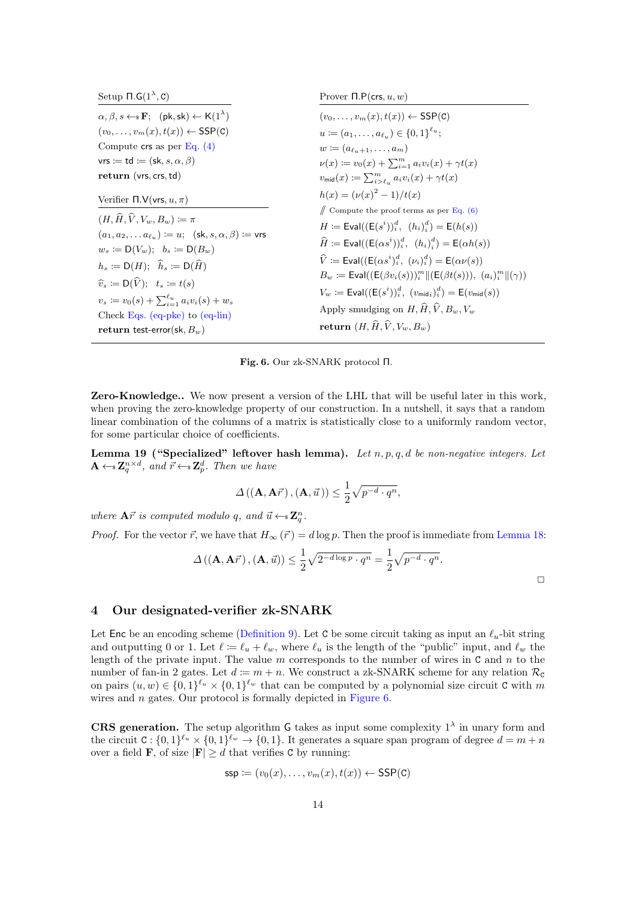| Setup $\Pi$ . $G(1^{\lambda}, C)$                                                                                                                                                                                                                                             | Prover $\Pi.P(\text{crs}, u, w)$                                                                                                                                                                                                                                                                                                                                        |  |  |  |
|-------------------------------------------------------------------------------------------------------------------------------------------------------------------------------------------------------------------------------------------------------------------------------|-------------------------------------------------------------------------------------------------------------------------------------------------------------------------------------------------------------------------------------------------------------------------------------------------------------------------------------------------------------------------|--|--|--|
| $\alpha, \beta, s \leftarrow s \mathbf{F}$ ; (pk, sk) $\leftarrow$ K(1 <sup><math>\lambda</math></sup> )                                                                                                                                                                      | $(v_0,\ldots,v_m(x),t(x)) \leftarrow$ SSP(C)                                                                                                                                                                                                                                                                                                                            |  |  |  |
| $(v_0,\ldots,v_m(x),t(x)) \leftarrow$ SSP(C)                                                                                                                                                                                                                                  | $u := (a_1, \ldots, a_{\ell_n}) \in \{0, 1\}^{\ell_u};$                                                                                                                                                                                                                                                                                                                 |  |  |  |
| Compute $\text{crs}$ as per Eq. (4)                                                                                                                                                                                                                                           | $w := (a_{\ell_{n+1}}, \ldots, a_{m})$                                                                                                                                                                                                                                                                                                                                  |  |  |  |
| vrs $:=$ td $:=$ (sk, s, $\alpha$ , $\beta$ )                                                                                                                                                                                                                                 | $\nu(x) \coloneqq v_0(x) + \sum_{i=1}^m a_i v_i(x) + \gamma t(x)$                                                                                                                                                                                                                                                                                                       |  |  |  |
| return (vrs, crs, td)                                                                                                                                                                                                                                                         | $v_{\text{mid}}(x) \coloneqq \sum_{i \geq \ell_v}^m a_i v_i(x) + \gamma t(x)$                                                                                                                                                                                                                                                                                           |  |  |  |
| Verifier $\Pi.V(vrs, u, \pi)$                                                                                                                                                                                                                                                 | $h(x) = (\nu(x)^2 - 1)/t(x)$                                                                                                                                                                                                                                                                                                                                            |  |  |  |
| $(H, \widehat{H}, \widehat{V}, V_w, B_w) \coloneqq \pi$<br>$(a_1, a_2, \ldots a_{\ell_n}) \coloneqq u;$ (sk, s, $\alpha, \beta$ ) $:= \text{vrs}$<br>$w_s := D(V_w); b_s := D(B_w)$                                                                                           | $\#$ Compute the proof terms as per Eq. (6)<br>$H := \text{Eval}((E(s^i))^d, (h_i)^d) = E(h(s))$<br>$\hat{H} \coloneqq \text{Eval}((\mathsf{E}(\alpha s^i))^d, (h_i)^d) = \mathsf{E}(\alpha h(s))$                                                                                                                                                                      |  |  |  |
| $h_s := \mathsf{D}(H); \quad \widehat{h}_s := \mathsf{D}(\widehat{H})$<br>$\widehat{v}_s := \mathsf{D}(\widehat{V}); \ \ t_s := t(s)$<br>$v_s \coloneqq v_0(s) + \sum_{i=1}^{\ell_u} a_i v_i(s) + w_s$<br>Check Eqs. (eq-pke) to $(eq$ -lin)<br>return test-error(sk, $B_w$ ) | $\hat{V}$ = Eval( $(E(\alpha s^i)^d_i, (\nu_i)^d_i)$ = E $(\alpha \nu(s))$<br>$B_w := \text{Eval}((E(\beta v_i(s)))_i^m   (E(\beta t(s))), (a_i)_i^m   (\gamma))$<br>$V_w := \text{Eval}((E(s^i))^d_i, (v_{\text{mid }i})^d_i) = E(v_{\text{mid}}(s))$<br>Apply smudging on $H, \widehat{H}, \widehat{V}, B_w, V_w$<br>return $(H, \widehat{H}, \widehat{V}, V_w, B_w)$ |  |  |  |

<span id="page-13-0"></span>Fig. 6. Our zk-SNARK protocol Π.

Zero-Knowledge.. We now present a version of the LHL that will be useful later in this work, when proving the zero-knowledge property of our construction. In a nutshell, it says that a random linear combination of the columns of a matrix is statistically close to a uniformly random vector, for some particular choice of coefficients.

<span id="page-13-1"></span>Lemma 19 ("Specialized" leftover hash lemma). Let  $n, p, q, d$  be non-negative integers. Let  $\mathbf{A} \leftarrow \mathbf{s} \mathbf{Z}_q^{n \times d}$ , and  $\vec{r} \leftarrow \mathbf{s} \mathbf{Z}_p^d$ . Then we have

$$
\Delta\left((\mathbf{A}, \mathbf{A}\vec{r}\right), (\mathbf{A}, \vec{u}\,)\right) \leq \frac{1}{2} \sqrt{p^{-d} \cdot q^n},
$$

where  $A\vec{r}$  is computed modulo q, and  $\vec{u} \leftarrow s \mathbf{Z}_q^n$ .

*Proof.* For the vector  $\vec{r}$ , we have that  $H_{\infty}(\vec{r}) = d \log p$ . Then the proof is immediate from [Lemma 18:](#page-12-3)

$$
\Delta\left((\mathbf{A}, \mathbf{A}\vec{r})\right), (\mathbf{A}, \vec{u})\right) \leq \frac{1}{2}\sqrt{2^{-d\log p}\cdot q^n} = \frac{1}{2}\sqrt{p^{-d}\cdot q^n}.
$$

 $\Box$ 

# 4 Our designated-verifier zk-SNARK

Let Enc be an encoding scheme [\(Definition 9\)](#page-6-0). Let C be some circuit taking as input an  $\ell_u$ -bit string and outputting 0 or 1. Let  $\ell := \ell_u + \ell_w$ , where  $\ell_u$  is the length of the "public" input, and  $\ell_w$  the length of the private input. The value  $m$  corresponds to the number of wires in  $C$  and  $n$  to the number of fan-in 2 gates. Let  $d := m + n$ . We construct a zk-SNARK scheme for any relation  $\mathcal{R}_c$ on pairs  $(u, w) \in \{0, 1\}^{\ell_u} \times \{0, 1\}^{\ell_w}$  that can be computed by a polynomial size circuit C with m wires and *n* gates. Our protocol is formally depicted in [Figure 6.](#page-13-0)

**CRS** generation. The setup algorithm G takes as input some complexity  $1^{\lambda}$  in unary form and the circuit  $C: \{0,1\}^{\ell_u} \times \{0,1\}^{\ell_w} \to \{0,1\}$ . It generates a square span program of degree  $d = m + n$ over a field **F**, of size  $|\mathbf{F}| \ge d$  that verifies **C** by running:

$$
\mathsf{ssp} \coloneqq (v_0(x), \dots, v_m(x), t(x)) \leftarrow \mathsf{SSP}(\mathsf{C})
$$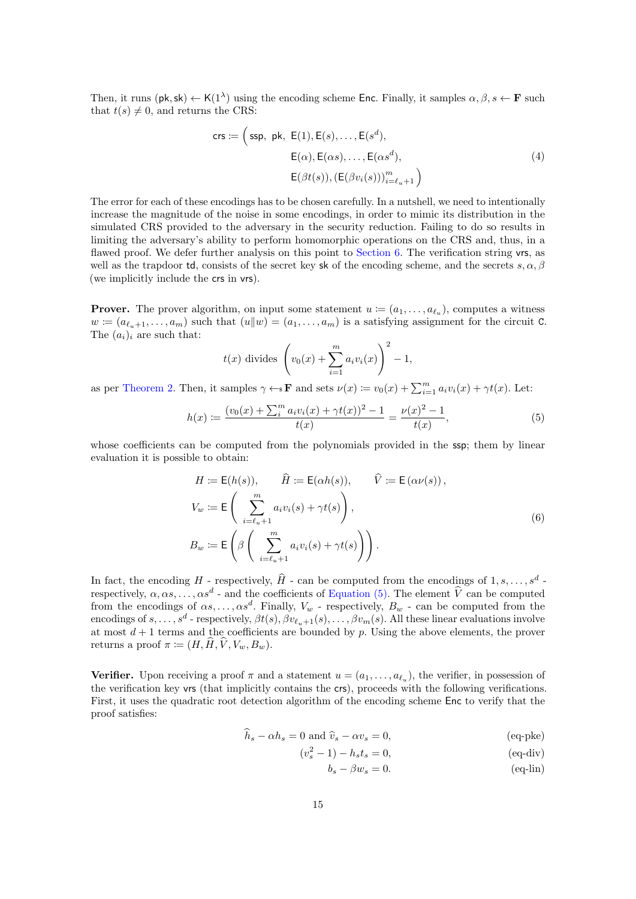Then, it runs  $(\mathsf{pk}, \mathsf{sk}) \leftarrow \mathsf{K}(1^{\lambda})$  using the encoding scheme Enc. Finally, it samples  $\alpha, \beta, s \leftarrow \mathbf{F}$  such that  $t(s) \neq 0$ , and returns the CRS:

<span id="page-14-0"></span>
$$
\mathsf{crs} := \left(\textsf{ssp}, \text{pk}, \text{ E}(1), \text{E}(s), \dots, \text{E}(s^d), \right. \\
\left. \begin{aligned}\n \text{E}(\alpha), \text{E}(\alpha s), \dots, \text{E}(\alpha s^d), \\
\text{E}(\beta t(s)), (\text{E}(\beta v_i(s)))_{i=\ell_u+1}^m \end{aligned}\right) \tag{4}
$$

The error for each of these encodings has to be chosen carefully. In a nutshell, we need to intentionally increase the magnitude of the noise in some encodings, in order to mimic its distribution in the simulated CRS provided to the adversary in the security reduction. Failing to do so results in limiting the adversary's ability to perform homomorphic operations on the CRS and, thus, in a flawed proof. We defer further analysis on this point to [Section 6.](#page-19-0) The verification string vrs, as well as the trapdoor td, consists of the secret key sk of the encoding scheme, and the secrets  $s, \alpha, \beta$ (we implicitly include the crs in vrs).

**Prover.** The prover algorithm, on input some statement  $u := (a_1, \ldots, a_{\ell_u})$ , computes a witness  $w := (a_{\ell_1+1}, \ldots, a_m)$  such that  $(u||w) = (a_1, \ldots, a_m)$  is a satisfying assignment for the circuit C. The  $(a_i)_i$  are such that:

<span id="page-14-3"></span>
$$
t(x)
$$
 divides  $\left(v_0(x) + \sum_{i=1}^m a_i v_i(x)\right)^2 - 1$ ,

as per [Theorem 2.](#page-4-0) Then, it samples  $\gamma \leftarrow \mathbf{F}$  and sets  $\nu(x) \coloneqq v_0(x) + \sum_{i=1}^m a_i v_i(x) + \gamma t(x)$ . Let:

$$
h(x) := \frac{(v_0(x) + \sum_i^m a_i v_i(x) + \gamma t(x))^2 - 1}{t(x)} = \frac{\nu(x)^2 - 1}{t(x)},
$$
\n(5)

whose coefficients can be computed from the polynomials provided in the ssp; them by linear evaluation it is possible to obtain:

<span id="page-14-2"></span>
$$
H := \mathsf{E}(h(s)), \qquad \widehat{H} := \mathsf{E}(\alpha h(s)), \qquad \widehat{V} := \mathsf{E}(\alpha \nu(s)),
$$
  
\n
$$
V_w := \mathsf{E}\left(\sum_{i=\ell_u+1}^m a_i v_i(s) + \gamma t(s)\right),
$$
  
\n
$$
B_w := \mathsf{E}\left(\beta \left(\sum_{i=\ell_u+1}^m a_i v_i(s) + \gamma t(s)\right)\right).
$$
\n(6)

In fact, the encoding H - respectively,  $\hat{H}$  - can be computed from the encodings of  $1, s, \ldots, s^d$ . respectively,  $\alpha, \alpha s, \dots, \alpha s^d$  - and the coefficients of [Equation \(5\).](#page-14-3) The element  $\hat{V}$  can be computed from the from the encodings of  $\alpha s, \dots, \alpha s^d$ . Finally,  $V_w$  - respectively,  $B_w$  - can be computed from the encodings of  $s, \ldots, s^d$  - respectively,  $\beta t(s), \beta v_{\ell_u+1}(s), \ldots, \beta v_m(s)$ . All these linear evaluations involve at most  $d+1$  terms and the coefficients are bounded by p. Using the above elements, the prover returns a proof  $\pi \coloneqq (H, \hat{H}, \hat{V}, V_w, B_w).$ 

<span id="page-14-1"></span>**Verifier.** Upon receiving a proof  $\pi$  and a statement  $u = (a_1, \ldots, a_{\ell_u})$ , the verifier, in possession of the verification key vrs (that implicitly contains the crs), proceeds with the following verifications. First, it uses the quadratic root detection algorithm of the encoding scheme Enc to verify that the proof satisfies:

$$
\hat{h}_s - \alpha h_s = 0 \text{ and } \hat{v}_s - \alpha v_s = 0,
$$
\n
$$
\text{(eq-pke)}
$$

$$
(v_s^2 - 1) - h_s t_s = 0,
$$
\n
$$
(eq-div)
$$

 $b_s - \beta w_s = 0.$  (eq-lin)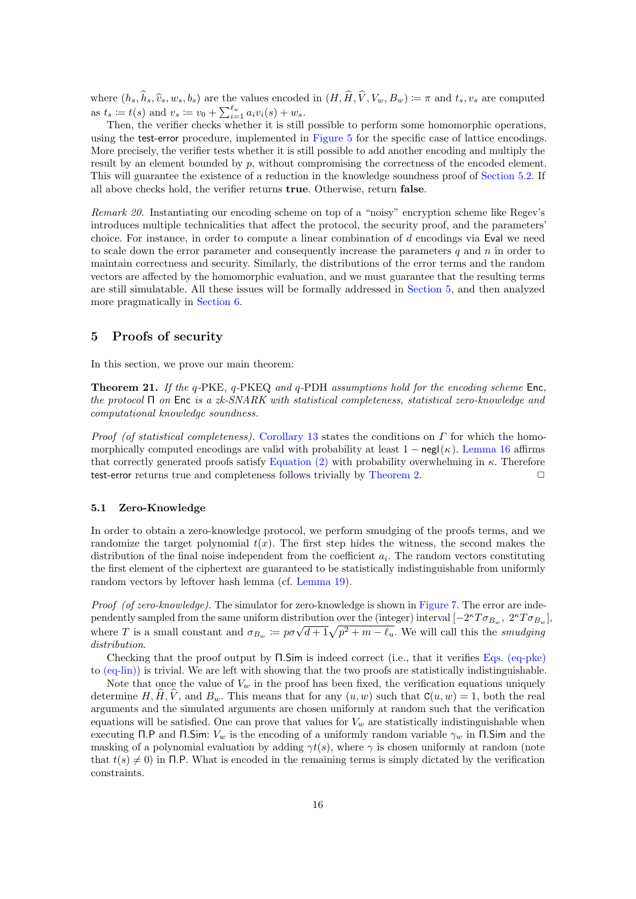where  $(h_s, \hat{h}_s, \hat{v}_s, w_s, b_s)$  are the values encoded in  $(H, \hat{H}, \hat{V}, V_w, B_w) := \pi$  and  $t_s, v_s$  are computed as  $t_s := t(s)$  and  $v_s := v_0 + \sum_{i=1}^{\ell_u} a_i v_i(s) + w_s$ .

Then, the verifier checks whether it is still possible to perform some homomorphic operations, using the test-error procedure, implemented in [Figure 5](#page-12-0) for the specific case of lattice encodings. More precisely, the verifier tests whether it is still possible to add another encoding and multiply the result by an element bounded by p, without compromising the correctness of the encoded element. This will guarantee the existence of a reduction in the knowledge soundness proof of [Section 5.2.](#page-16-0) If all above checks hold, the verifier returns true. Otherwise, return false.

Remark 20. Instantiating our encoding scheme on top of a "noisy" encryption scheme like Regev's introduces multiple technicalities that affect the protocol, the security proof, and the parameters' choice. For instance, in order to compute a linear combination of d encodings via Eval we need to scale down the error parameter and consequently increase the parameters  $q$  and  $n$  in order to maintain correctness and security. Similarly, the distributions of the error terms and the random vectors are affected by the homomorphic evaluation, and we must guarantee that the resulting terms are still simulatable. All these issues will be formally addressed in [Section 5,](#page-15-0) and then analyzed more pragmatically in [Section 6.](#page-19-0)

## <span id="page-15-0"></span>5 Proofs of security

In this section, we prove our main theorem:

Theorem 21. If the q-PKE, q-PKEQ and q-PDH assumptions hold for the encoding scheme Enc, the protocol  $\Pi$  on Enc is a zk-SNARK with statistical completeness, statistical zero-knowledge and computational knowledge soundness.

*Proof (of statistical completeness).* [Corollary 13](#page-10-3) states the conditions on  $\Gamma$  for which the homomorphically computed encodings are valid with probability at least  $1 - neg(\kappa)$ . [Lemma 16](#page-12-2) affirms that correctly generated proofs satisfy [Equation \(2\)](#page-12-4) with probability overwhelming in  $\kappa$ . Therefore test-error returns true and completeness follows trivially by [Theorem 2.](#page-4-0)

#### 5.1 Zero-Knowledge

In order to obtain a zero-knowledge protocol, we perform smudging of the proofs terms, and we randomize the target polynomial  $t(x)$ . The first step hides the witness, the second makes the distribution of the final noise independent from the coefficient  $a_i$ . The random vectors constituting the first element of the ciphertext are guaranteed to be statistically indistinguishable from uniformly random vectors by leftover hash lemma (cf. [Lemma 19\)](#page-13-1).

Proof (of zero-knowledge). The simulator for zero-knowledge is shown in [Figure 7.](#page-16-1) The error are independently sampled from the same uniform distribution over the (integer) interval  $[-2^\kappa T \sigma_{B_w}, 2^\kappa T \sigma_{B_w}]$ , pendently sampled from the same unnorm distribution over the (integer) interval  $[-2]$   $I \, \partial_{B_w}$ ,  $2]$   $I \, \partial_{B_u}$ <br>where T is a small constant and  $\sigma_{B_w} := p \sigma \sqrt{d+1} \sqrt{p^2 + m - \ell_u}$ . We will call this the *smudging* distribution.

Checking that the proof output by Π.Sim is indeed correct (i.e., that it verifies [Eqs. \(eq-pke\)](#page-14-1) to [\(eq-lin\)\)](#page-14-1) is trivial. We are left with showing that the two proofs are statistically indistinguishable.

Note that once the value of  $V_w$  in the proof has been fixed, the verification equations uniquely determine  $H, \hat{H}, \hat{V}$ , and  $B_w$ . This means that for any  $(u, w)$  such that  $C(u, w) = 1$ , both the real arguments and the simulated arguments are chosen uniformly at random such that the verification equations will be satisfied. One can prove that values for  $V_w$  are statistically indistinguishable when executing Π.P and Π.Sim:  $V_w$  is the encoding of a uniformly random variable  $\gamma_w$  in Π.Sim and the masking of a polynomial evaluation by adding  $\gamma t(s)$ , where  $\gamma$  is chosen uniformly at random (note that  $t(s) \neq 0$  in Π.P. What is encoded in the remaining terms is simply dictated by the verification constraints.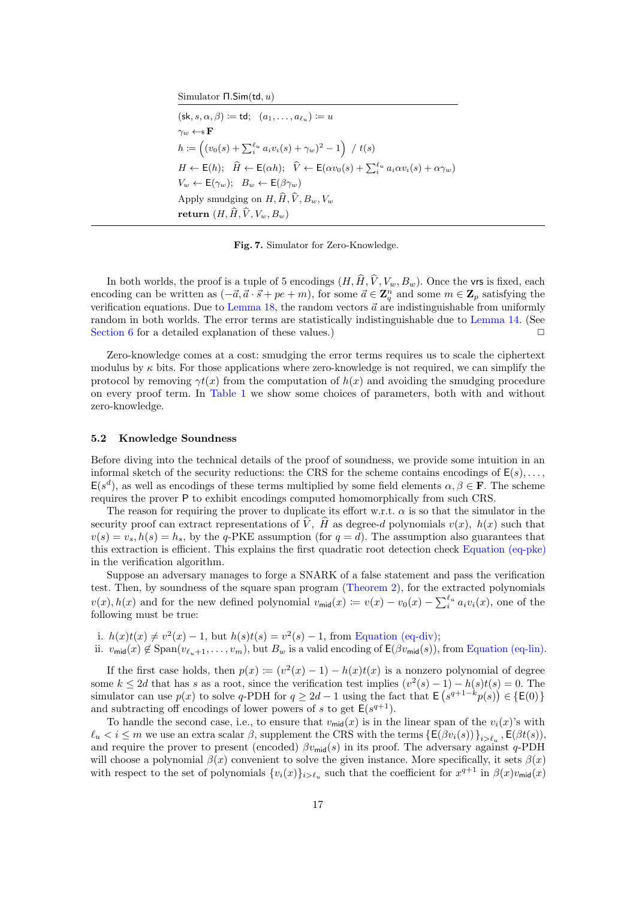Simulator Π.Sim(td, u)

 $(\mathsf{sk}, s, \alpha, \beta) := \mathsf{td}; \ \ (a_1, \ldots, a_{\ell_{\mathfrak{u}}} ) := u$  $\gamma_w \leftarrow \!\! \ast \mathbf{F}$  $h \coloneqq \left( (v_0(s) + \sum_i^{\ell_u} a_i v_i(s) + \gamma_w)^2 - 1 \right)$  /  $t(s)$  $H \leftarrow \mathsf{E}(h); \quad \widehat{H} \leftarrow \mathsf{E}(\alpha h); \quad \widehat{V} \leftarrow \mathsf{E}(\alpha v_0(s) + \sum_i^{\ell_u} a_i \alpha v_i(s) + \alpha \gamma_w)$  $V_w \leftarrow \mathsf{E}(\gamma_w); B_w \leftarrow \mathsf{E}(\beta \gamma_w)$ Apply smudging on  $H, \widehat{H}, \widehat{V}, B_w, V_w$ return  $(H, \widehat{H}, \widehat{V}, V_w, B_w)$ 

<span id="page-16-1"></span>Fig. 7. Simulator for Zero-Knowledge.

In both worlds, the proof is a tuple of 5 encodings  $(H, \hat{H}, \hat{V}, V_w, B_w)$ . Once the vrs is fixed, each encoding can be written as  $(-\vec{a}, \vec{a} \cdot \vec{s} + pe + m)$ , for some  $\vec{a} \in \mathbb{Z}_q^n$  and some  $m \in \mathbb{Z}_p$  satisfying the verification equations. Due to [Lemma 18,](#page-12-3) the random vectors  $\vec{a}$  are indistinguishable from uniformly random in both worlds. The error terms are statistically indistinguishable due to [Lemma 14.](#page-11-0) (See [Section 6](#page-19-0) for a detailed explanation of these values.)  $\Box$ 

Zero-knowledge comes at a cost: smudging the error terms requires us to scale the ciphertext modulus by  $\kappa$  bits. For those applications where zero-knowledge is not required, we can simplify the protocol by removing  $\gamma t(x)$  from the computation of  $h(x)$  and avoiding the smudging procedure on every proof term. In [Table 1](#page-2-1) we show some choices of parameters, both with and without zero-knowledge.

#### <span id="page-16-0"></span>5.2 Knowledge Soundness

Before diving into the technical details of the proof of soundness, we provide some intuition in an informal sketch of the security reductions: the CRS for the scheme contains encodings of  $E(s), \ldots$ ,  $\mathsf{E}(s^d)$ , as well as encodings of these terms multiplied by some field elements  $\alpha, \beta \in \mathbf{F}$ . The scheme requires the prover P to exhibit encodings computed homomorphically from such CRS.

The reason for requiring the prover to duplicate its effort w.r.t.  $\alpha$  is so that the simulator in the security proof can extract representations of  $\hat{V}$ ,  $\hat{H}$  as degree-d polynomials  $v(x)$ ,  $h(x)$  such that  $v(s) = v_s, h(s) = h_s$ , by the q-PKE assumption (for  $q = d$ ). The assumption also guarantees that this extraction is efficient. This explains the first quadratic root detection check [Equation \(eq-pke\)](#page-14-1) in the verification algorithm.

Suppose an adversary manages to forge a SNARK of a false statement and pass the verification test. Then, by soundness of the square span program [\(Theorem 2\)](#page-4-0), for the extracted polynomials  $v(x)$ ,  $h(x)$  and for the new defined polynomial  $v_{\text{mid}}(x) \coloneqq v(x) - v_0(x) - \sum_{i=1}^{\ell_u} a_i v_i(x)$ , one of the following must be true:

- <span id="page-16-2"></span>i.  $h(x)t(x) \neq v^2(x) - 1$ , but  $h(s)t(s) = v^2(s) - 1$ , from [Equation \(eq-div\);](#page-14-1)
- <span id="page-16-3"></span>ii.  $v_{mid}(x) \notin \text{Span}(v_{\ell_{n+1}}, \ldots, v_m)$ , but  $B_w$  is a valid encoding of  $\mathsf{E}(\beta v_{mid}(s))$ , from [Equation \(eq-lin\).](#page-14-1)

If the first case holds, then  $p(x) := (v^2(x) - 1) - h(x)t(x)$  is a nonzero polynomial of degree some  $k \leq 2d$  that has s as a root, since the verification test implies  $(v^2(s) - 1) - h(s)t(s) = 0$ . The simulator can use  $p(x)$  to solve q-PDH for  $q \ge 2d - 1$  using the fact that  $\mathsf{E}\left(s^{q+1-k}p(s)\right) \in \{\mathsf{E}(0)\}\$ and subtracting off encodings of lower powers of s to get  $E(s^{q+1})$ .

To handle the second case, i.e., to ensure that  $v_{mid}(x)$  is in the linear span of the  $v_i(x)$ 's with  $\ell_u < i \leq m$  we use an extra scalar  $\beta$ , supplement the CRS with the terms  $\{\mathsf{E}(\beta v_i(s))\}_{i>\ell_u}$ ,  $\mathsf{E}(\beta t(s))$ , and require the prover to present (encoded)  $\beta v_{\text{mid}}(s)$  in its proof. The adversary against q-PDH will choose a polynomial  $\beta(x)$  convenient to solve the given instance. More specifically, it sets  $\beta(x)$ with respect to the set of polynomials  $\{v_i(x)\}_{i>\ell_u}$  such that the coefficient for  $x^{q+1}$  in  $\beta(x)v_{\text{mid}}(x)$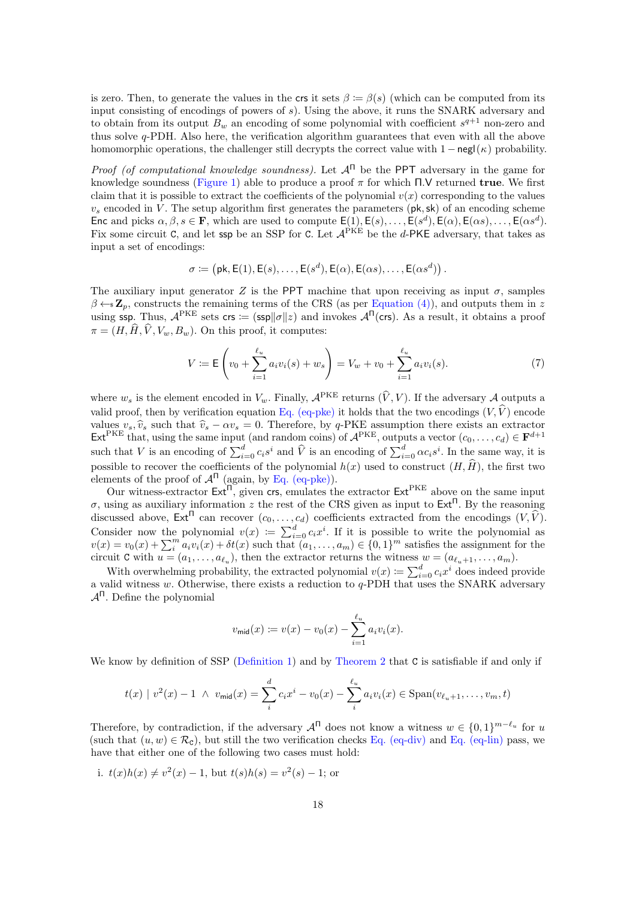is zero. Then, to generate the values in the crs it sets  $\beta := \beta(s)$  (which can be computed from its input consisting of encodings of powers of s). Using the above, it runs the SNARK adversary and to obtain from its output  $B_w$  an encoding of some polynomial with coefficient  $s^{q+1}$  non-zero and thus solve q-PDH. Also here, the verification algorithm guarantees that even with all the above homomorphic operations, the challenger still decrypts the correct value with  $1 - \frac{neq(\kappa)}{n}$  probability.

*Proof (of computational knowledge soundness).* Let  $A^{n}$  be the PPT adversary in the game for knowledge soundness [\(Figure 1\)](#page-5-0) able to produce a proof  $\pi$  for which  $\Pi$ . V returned true. We first claim that it is possible to extract the coefficients of the polynomial  $v(x)$  corresponding to the values  $v<sub>s</sub>$  encoded in V. The setup algorithm first generates the parameters ( $pk, sk$ ) of an encoding scheme Enc and picks  $\alpha, \beta, s \in \mathbf{F}$ , which are used to compute  $\mathsf{E}(1), \mathsf{E}(s), \ldots, \mathsf{E}(s^d), \mathsf{E}(\alpha), \mathsf{E}(\alpha s), \ldots, \mathsf{E}(\alpha s^d)$ . Fix some circuit C, and let ssp be an SSP for C. Let  $A^{PKE}$  be the d-PKE adversary, that takes as input a set of encodings:

$$
\sigma \coloneqq (\mathsf{pk}, \mathsf{E}(1), \mathsf{E}(s), \dots, \mathsf{E}(s^d), \mathsf{E}(\alpha), \mathsf{E}(\alpha s), \dots, \mathsf{E}(\alpha s^d))
$$

The auxiliary input generator Z is the PPT machine that upon receiving as input  $\sigma$ , samples  $\beta \leftarrow \mathbf{z}_p$ , constructs the remaining terms of the CRS (as per [Equation \(4\)\)](#page-14-0), and outputs them in z using ssp. Thus,  $A^{PKE}$  sets crs := (ssp|| $\sigma$ || $z$ ) and invokes  $A^{n}$ (crs). As a result, it obtains a proof  $\pi = (H, \hat{H}, \hat{V}, V_w, B_w)$ . On this proof, it computes:

$$
V := \mathsf{E}\left(v_0 + \sum_{i=1}^{\ell_u} a_i v_i(s) + w_s\right) = V_w + v_0 + \sum_{i=1}^{\ell_u} a_i v_i(s).
$$
 (7)

where  $w_s$  is the element encoded in  $V_w$ . Finally,  $\mathcal{A}^{\text{PKE}}$  returns  $(\hat{V}, V)$ . If the adversary  $\mathcal A$  outputs a valid proof, then by verification equation [Eq. \(eq-pke\)](#page-14-1) it holds that the two encodings  $(V, \hat{V})$  encode values  $v_s, \hat{v}_s$  such that  $\hat{v}_s - \alpha v_s = 0$ . Therefore, by q-PKE assumption there exists an extractor  $\mathsf{Ext}^{\text{PKE}}$  that, using the same input (and random coins) of  $\mathcal{A}^{\text{PKE}}$ , outputs a vector  $(c_0, \ldots, c_d) \in \mathbf{$ such that V is an encoding of  $\sum_{i=0}^{d} c_i s^i$  and  $\widehat{V}$  is an encoding of  $\sum_{i=0}^{d} \alpha c_i s^i$ . In the same way, it is possible to recover the coefficients of the polynomial  $h(x)$  used to construct  $(H, \hat{H})$ , the first two elements of the proof of  $A^{\Pi}$  (again, by [Eq. \(eq-pke\)\)](#page-14-1).

Our witness-extractor  $\mathsf{Ext}^{\Pi}$ , given crs, emulates the extractor  $\mathsf{Ext}^{\mathrm{PKE}}$  above on the same input σ, using as auxiliary information z the rest of the CRS given as input to  $Ext^{\Pi}$ . By the reasoning discussed above,  $\mathsf{Ext}^{\Pi}$  can recover  $(c_0, \ldots, c_d)$  coefficients extracted from the encodings  $(V, \hat{V})$ . Consider now the polynomial  $v(x) := \sum_{i=0}^d c_i x^i$ . If it is possible to write the polynomial as  $v(x) = v_0(x) + \sum_i^m a_i v_i(x) + \delta t(x)$  such that  $(a_1, \ldots, a_m) \in \{0, 1\}^m$  satisfies the assignment for the circuit **C** with  $u = (a_1, \ldots, a_{\ell_u})$ , then the extractor returns the witness  $w = (a_{\ell_u+1}, \ldots, a_m)$ .

With overwhelming probability, the extracted polynomial  $v(x) \coloneqq \sum_{i=0}^{d} c_i x^i$  does indeed provide a valid witness  $w$ . Otherwise, there exists a reduction to  $q$ -PDH that uses the SNARK adversary  $A<sup>π</sup>$ . Define the polynomial

$$
v_{\text{mid}}(x) := v(x) - v_0(x) - \sum_{i=1}^{\ell_u} a_i v_i(x).
$$

We know by definition of SSP [\(Definition 1\)](#page-4-1) and by [Theorem 2](#page-4-0) that C is satisfiable if and only if

$$
t(x) | v^{2}(x) - 1 \wedge v_{\text{mid}}(x) = \sum_{i}^{d} c_{i} x^{i} - v_{0}(x) - \sum_{i}^{\ell_{u}} a_{i} v_{i}(x) \in \text{Span}(v_{\ell_{u}+1}, \ldots, v_{m}, t)
$$

Therefore, by contradiction, if the adversary  $\mathcal{A}^{\Pi}$  does not know a witness  $w \in \{0,1\}^{m-\ell_u}$  for u (such that  $(u, w) \in \mathcal{R}_{\mathcal{C}}$ ), but still the two verification checks [Eq. \(eq-div\)](#page-14-1) and [Eq. \(eq-lin\)](#page-14-1) pass, we have that either one of the following two cases must hold:

i. 
$$
t(x)h(x) \neq v^2(x) - 1
$$
, but  $t(s)h(s) = v^2(s) - 1$ ; or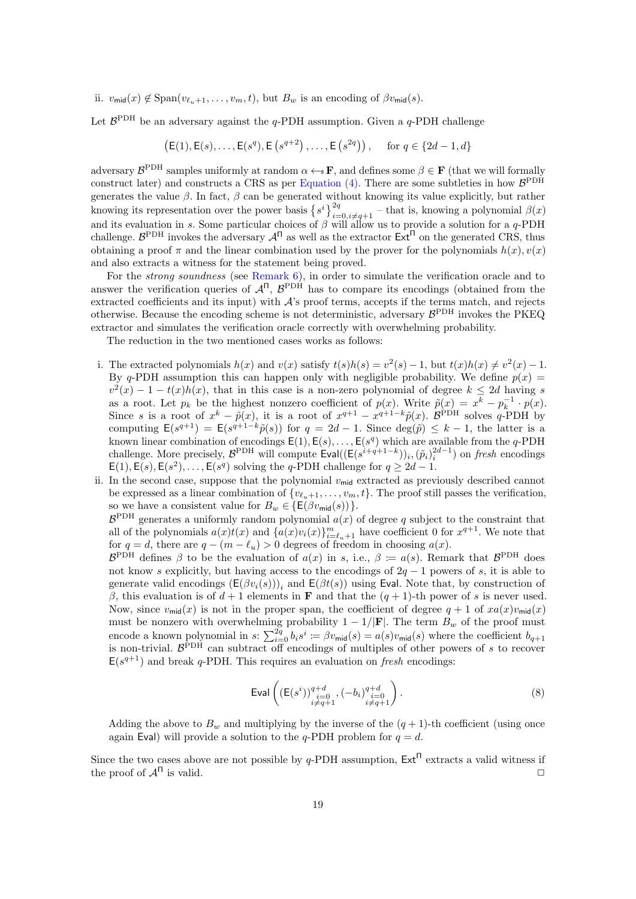ii.  $v_{\text{mid}}(x) \notin \text{Span}(v_{\ell_{u+1}}, \ldots, v_m, t)$ , but  $B_w$  is an encoding of  $\beta v_{\text{mid}}(s)$ .

Let  $\mathcal{B}^{\text{PDH}}$  be an adversary against the q-PDH assumption. Given a q-PDH challenge

$$
(\mathsf{E}(1), \mathsf{E}(s), \ldots, \mathsf{E}(s^q), \mathsf{E}(s^{q+2}), \ldots, \mathsf{E}(s^{2q}))
$$
, for  $q \in \{2d-1, d\}$ 

adversary  $\mathcal{B}^{\text{PDH}}$  samples uniformly at random  $\alpha \leftarrow \mathbf{F}$ , and defines some  $\beta \in \mathbf{F}$  (that we will formally construct later) and constructs a CRS as per [Equation \(4\).](#page-14-0) There are some subtleties in how  $\mathcal{B}^{\text{PDH}}$ generates the value  $\beta$ . In fact,  $\beta$  can be generated without knowing its value explicitly, but rather knowing its representation over the power basis  $\{s^i\}_{i=0,i\neq q+1}^{2q}$  – that is, knowing a polynomial  $\beta(x)$ and its evaluation in s. Some particular choices of  $\beta$  will allow us to provide a solution for a q-PDH challenge.  $\mathcal{B}^{\text{PDH}}$  invokes the adversary  $\mathcal{A}^{\Pi}$  as well as the extractor  $\text{Ext}^{\Pi}$  on the generated CRS, thus obtaining a proof  $\pi$  and the linear combination used by the prover for the polynomials  $h(x)$ ,  $v(x)$ and also extracts a witness for the statement being proved.

For the strong soundness (see [Remark 6\)](#page-5-1), in order to simulate the verification oracle and to answer the verification queries of  $A^{n}$ ,  $B^{PDH}$  has to compare its encodings (obtained from the extracted coefficients and its input) with  $A$ 's proof terms, accepts if the terms match, and rejects otherwise. Because the encoding scheme is not deterministic, adversary  $\mathcal{B}^{\text{PDH}}$  invokes the PKEQ extractor and simulates the verification oracle correctly with overwhelming probability.

The reduction in the two mentioned cases works as follows:

- i. The extracted polynomials  $h(x)$  and  $v(x)$  satisfy  $t(s)h(s) = v^2(s) 1$ , but  $t(x)h(x) \neq v^2(x) 1$ . By q-PDH assumption this can happen only with negligible probability. We define  $p(x)$  $v^2(x) - 1 - t(x)h(x)$ , that in this case is a non-zero polynomial of degree  $k \leq 2d$  having s as a root. Let  $p_k$  be the highest nonzero coefficient of  $p(x)$ . Write  $\tilde{p}(x) = x^k - p_k^{-1} \cdot p(x)$ . Since s is a root of  $x^k - \tilde{p}(x)$ , it is a root of  $x^{q+1} - x^{q+1-k}\tilde{p}(x)$ .  $\mathcal{B}^{\text{PDH}}$  solves q-PDH by computing  $E(s^{q+1}) = E(s^{q+1-k}\tilde{p}(s))$  for  $q = 2d - 1$ . Since  $deg(\tilde{p}) \leq k - 1$ , the latter is a known linear combination of encodings  $E(1), E(s), \ldots, E(s^q)$  which are available from the q-PDH challenge. More precisely,  $\mathcal{B}^{\text{PDH}}$  will compute  $\text{Eval}((E(s^{i+q+1-k}))_i, (\tilde{p}_i)^{2d-1}_i)$  on fresh encodings  $E(1), E(s), E(s^2), \ldots, E(s^q)$  solving the q-PDH challenge for  $q \ge 2d-1$ .
- ii. In the second case, suppose that the polynomial  $v_{\text{mid}}$  extracted as previously described cannot be expressed as a linear combination of  $\{v_{\ell_1+1}, \ldots, v_m, t\}$ . The proof still passes the verification, so we have a consistent value for  $B_w \in \{E(\beta v_{mid}(s))\}.$

 $\mathcal{B}^{\text{PDH}}$  generates a uniformly random polynomial  $a(x)$  of degree q subject to the constraint that all of the polynomials  $a(x)t(x)$  and  $\{a(x)v_i(x)\}_{i=\ell_u+1}^m$  have coefficient 0 for  $x^{q+1}$ . We note that for  $q = d$ , there are  $q - (m - \ell_u) > 0$  degrees of freedom in choosing  $a(x)$ .

 $\mathcal{B}^{\text{PDH}}$  defines  $\beta$  to be the evaluation of  $a(x)$  in s, i.e.,  $\beta := a(s)$ . Remark that  $\mathcal{B}^{\text{PDH}}$  does not know s explicitly, but having access to the encodings of  $2q - 1$  powers of s, it is able to generate valid encodings  $(\mathsf{E}(\beta v_i(s)))_i$  and  $\mathsf{E}(\beta t(s))$  using Eval. Note that, by construction of β, this evaluation is of  $d+1$  elements in **F** and that the  $(q+1)$ -th power of s is never used. Now, since  $v_{\text{mid}}(x)$  is not in the proper span, the coefficient of degree  $q + 1$  of  $xa(x)v_{\text{mid}}(x)$ must be nonzero with overwhelming probability  $1 - 1/|\mathbf{F}|$ . The term  $B_w$  of the proof must encode a known polynomial in  $s: \sum_{i=0}^{2q} b_i s^i := \beta v_{\text{mid}}(s) = a(s)v_{\text{mid}}(s)$  where the coefficient  $b_{q+1}$ is non-trivial.  $\mathcal{B}^{\text{PDH}}$  can subtract off encodings of multiples of other powers of s to recover  $E(s^{q+1})$  and break q-PDH. This requires an evaluation on fresh encodings:

<span id="page-18-0"></span>
$$
\text{Eval}\left( (\mathsf{E}(s^{i}))_{\substack{i=0\\i\neq q+1}}^{q+d}, (-b_{i})_{\substack{i=0\\i\neq q+1}}^{q+d} \right). \tag{8}
$$

Adding the above to  $B_w$  and multiplying by the inverse of the  $(q + 1)$ -th coefficient (using once again Eval) will provide a solution to the q-PDH problem for  $q = d$ .

Since the two cases above are not possible by  $q$ -PDH assumption,  $Ext^{\Pi}$  extracts a valid witness if the proof of  $\mathcal{A}^{\Pi}$  is valid.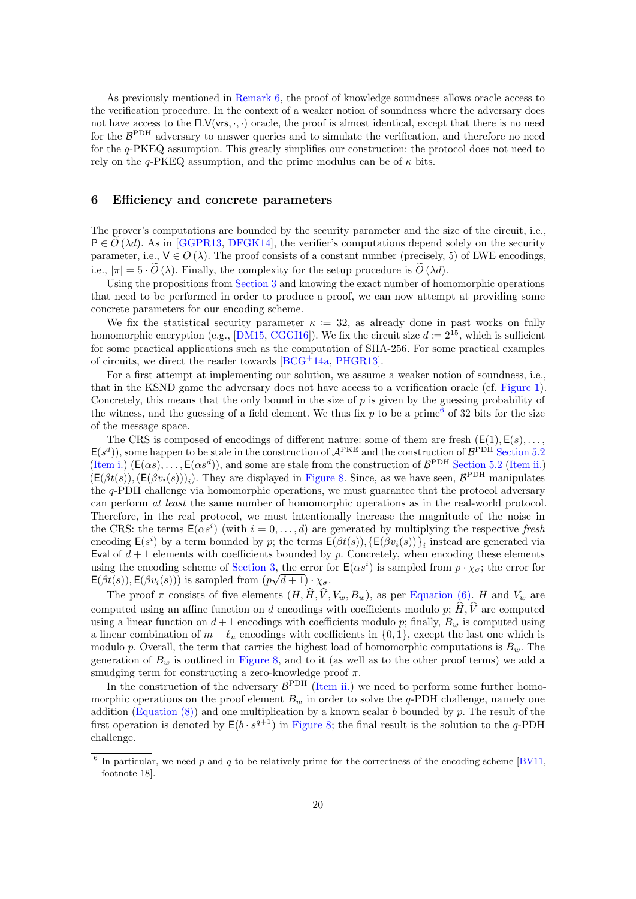As previously mentioned in [Remark 6,](#page-5-1) the proof of knowledge soundness allows oracle access to the verification procedure. In the context of a weaker notion of soundness where the adversary does not have access to the  $\Pi.\mathsf{V}(\mathsf{vrs}, \cdot, \cdot)$  oracle, the proof is almost identical, except that there is no need for the  $\mathcal{B}^{\text{PDH}}$  adversary to answer queries and to simulate the verification, and therefore no need for the q-PKEQ assumption. This greatly simplifies our construction: the protocol does not need to rely on the  $q$ -PKEQ assumption, and the prime modulus can be of  $\kappa$  bits.

## <span id="page-19-0"></span>6 Efficiency and concrete parameters

The prover's computations are bounded by the security parameter and the size of the circuit, i.e.,  $P \in O(\lambda d)$ . As in [\[GGPR13,](#page-24-4) [DFGK14\]](#page-24-1), the verifier's computations depend solely on the security parameter, i.e.,  $V \in O(\lambda)$ . The proof consists of a constant number (precisely, 5) of LWE encodings, i.e.,  $|\pi| = 5 \cdot \widetilde{O}(\lambda)$ . Finally, the complexity for the setup procedure is  $\widetilde{O}(\lambda d)$ .

Using the propositions from [Section 3](#page-8-0) and knowing the exact number of homomorphic operations that need to be performed in order to produce a proof, we can now attempt at providing some concrete parameters for our encoding scheme.

We fix the statistical security parameter  $\kappa = 32$ , as already done in past works on fully homomorphic encryption (e.g., [\[DM15,](#page-24-14) [CGGI16\]](#page-24-15)). We fix the circuit size  $d := 2^{15}$ , which is sufficient for some practical applications such as the computation of SHA-256. For some practical examples of circuits, we direct the reader towards [\[BCG](#page-23-8)+14a, [PHGR13\]](#page-25-2).

For a first attempt at implementing our solution, we assume a weaker notion of soundness, i.e., that in the KSND game the adversary does not have access to a verification oracle (cf. [Figure 1\)](#page-5-0). Concretely, this means that the only bound in the size of  $p$  is given by the guessing probability of the witness, and the guessing of a field element. We thus fix  $p$  to be a prime<sup>[6](#page-19-1)</sup> of 32 bits for the size of the message space.

The CRS is composed of encodings of different nature: some of them are fresh  $(E(1), E(s), \ldots, E(s))$  $E(s^d)$ , some happen to be stale in the construction of  $A^{PKE}$  and the construction of  $B^{PDH}$  [Section 5.2](#page-16-0) [\(Item i.\)](#page-16-2)  $(E(\alpha s), \ldots, E(\alpha s^d))$ , and some are stale from the construction of  $\mathcal{B}^{\text{PDH}}$  [Section 5.2](#page-16-0) [\(Item ii.\)](#page-16-3)  $(\mathsf{E}(\beta t(s)),(\mathsf{E}(\beta v_i(s)))_i)$ . They are displayed in [Figure 8.](#page-20-0) Since, as we have seen,  $\mathcal{B}^{\text{PDH}}$  manipulates the q-PDH challenge via homomorphic operations, we must guarantee that the protocol adversary can perform at least the same number of homomorphic operations as in the real-world protocol. Therefore, in the real protocol, we must intentionally increase the magnitude of the noise in the CRS: the terms  $\mathsf{E}(\alpha s^i)$  (with  $i = 0, \ldots, d$ ) are generated by multiplying the respective fresh encoding  $\mathsf{E}(s^i)$  by a term bounded by p; the terms  $\mathsf{E}(\beta t(s)), \{\mathsf{E}(\beta v_i(s))\}_i$  instead are generated via Eval of  $d + 1$  elements with coefficients bounded by p. Concretely, when encoding these elements using the encoding scheme of [Section 3,](#page-8-0) the error for  $E(\alpha s^i)$  is sampled from  $p \cdot \chi_{\sigma}$ ; the error for  $\mathsf{E}(\beta t(s)), \mathsf{E}(\beta v_i(s)))$  is sampled from  $(p\sqrt{d+1}) \cdot \chi_{\sigma}$ .

The proof  $\pi$  consists of five elements  $(H, \hat{H}, \hat{V}, V_w, B_w)$ , as per [Equation \(6\).](#page-14-2) H and  $V_w$  are computed using an affine function on d encodings with coefficients modulo p;  $\widehat{H}$ ,  $\widehat{V}$  are computed using a linear function on  $d+1$  encodings with coefficients modulo p; finally,  $B_w$  is computed using a linear combination of  $m - \ell_u$  encodings with coefficients in  $\{0, 1\}$ , except the last one which is modulo p. Overall, the term that carries the highest load of homomorphic computations is  $B_w$ . The generation of  $B_w$  is outlined in [Figure 8,](#page-20-0) and to it (as well as to the other proof terms) we add a smudging term for constructing a zero-knowledge proof  $\pi$ .

In the construction of the adversary  $\mathcal{B}^{\text{PDH}}$  [\(Item ii.\)](#page-16-3) we need to perform some further homomorphic operations on the proof element  $B_w$  in order to solve the q-PDH challenge, namely one addition (Equation  $(8)$ ) and one multiplication by a known scalar b bounded by p. The result of the first operation is denoted by  $E(b \cdot s^{q+1})$  in [Figure 8;](#page-20-0) the final result is the solution to the q-PDH challenge.

<span id="page-19-1"></span><sup>&</sup>lt;sup>6</sup> In particular, we need p and q to be relatively prime for the correctness of the encoding scheme [\[BV11,](#page-24-10) footnote 18].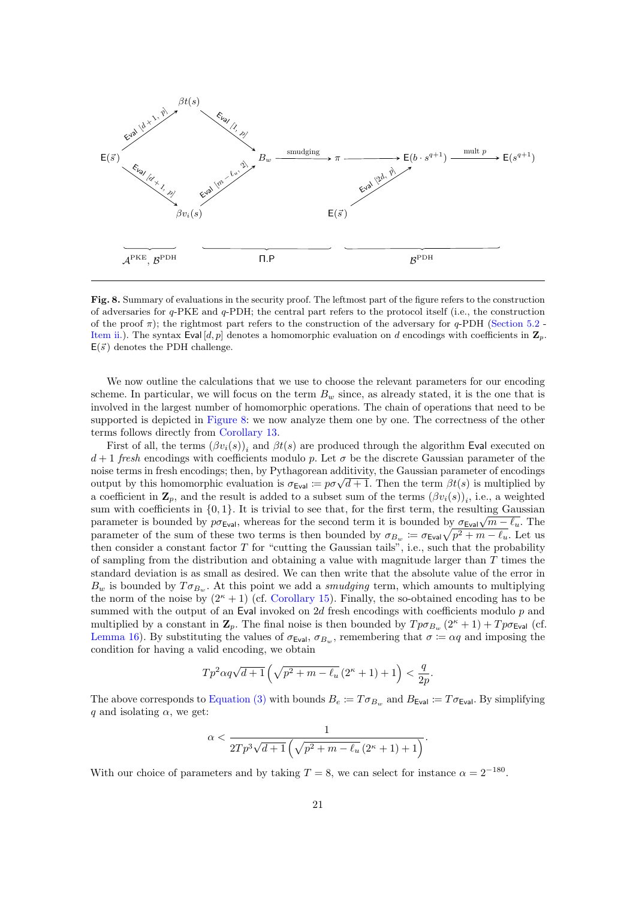

<span id="page-20-0"></span>Fig. 8. Summary of evaluations in the security proof. The leftmost part of the figure refers to the construction of adversaries for q-PKE and q-PDH; the central part refers to the protocol itself (i.e., the construction of the proof  $\pi$ ); the rightmost part refers to the construction of the adversary for q-PDH [\(Section 5.2](#page-16-0) -[Item ii.\)](#page-16-3). The syntax Eval  $[d, p]$  denotes a homomorphic evaluation on d encodings with coefficients in  $\mathbf{Z}_p$ .  $E(\vec{s})$  denotes the PDH challenge.

We now outline the calculations that we use to choose the relevant parameters for our encoding scheme. In particular, we will focus on the term  $B_w$  since, as already stated, it is the one that is involved in the largest number of homomorphic operations. The chain of operations that need to be supported is depicted in [Figure 8:](#page-20-0) we now analyze them one by one. The correctness of the other terms follows directly from [Corollary 13.](#page-10-3)

First of all, the terms  $(\beta v_i(s))_i$  and  $\beta t(s)$  are produced through the algorithm Eval executed on  $d+1$  fresh encodings with coefficients modulo p. Let  $\sigma$  be the discrete Gaussian parameter of the noise terms in fresh encodings; then, by Pythagorean additivity, the Gaussian parameter of encodings noise terms in fresh encodings; then, by Pythagorean additivity, the Gaussian parameter of encodings output by this homomorphic evaluation is  $\sigma_{\text{Eval}} \coloneqq p\sigma\sqrt{d+1}$ . Then the term  $\beta t(s)$  is multiplied by a coefficient in  $\mathbf{Z}_p$ , and the result is added to a subset sum of the terms  $(\beta v_i(s))_i$ , i.e., a weighted sum with coefficients in  $\{0, 1\}$ . It is trivial to see that, for the first term, the resulting Gaussian sum with coefficients in  $\{0,1\}$ . It is trivial to see that, for the first term, the resulting Gaussian parameter is bounded by  $p\sigma_{\text{Eval}}$ , whereas for the second term it is bounded by  $\sigma_{\text{Eval}}\sqrt{m-\ell_{u}}$ . The parameter of the sum of these two terms is then bounded by  $\sigma_{B_w} := \sigma_{\text{Eval}} \sqrt{p^2 + m - \ell_u}$ . Let us then consider a constant factor T for "cutting the Gaussian tails", i.e., such that the probability of sampling from the distribution and obtaining a value with magnitude larger than  $T$  times the standard deviation is as small as desired. We can then write that the absolute value of the error in  $B_w$  is bounded by  $T\sigma_{B_w}$ . At this point we add a *smudging* term, which amounts to multiplying the norm of the noise by  $(2<sup>\kappa</sup> + 1)$  (cf. [Corollary 15\)](#page-11-1). Finally, the so-obtained encoding has to be summed with the output of an Eval invoked on 2d fresh encodings with coefficients modulo p and multiplied by a constant in  $\mathbf{Z}_p$ . The final noise is then bounded by  $T p \sigma_{B_w} (2^{\kappa} + 1) + T p \sigma_{\text{Eval}}$  (cf. [Lemma 16\)](#page-12-2). By substituting the values of  $\sigma_{\text{Eval}}$ ,  $\sigma_{B_{\text{wal}}}$ , remembering that  $\sigma := \alpha q$  and imposing the condition for having a valid encoding, we obtain

$$
Tp^2\alpha q\sqrt{d+1}\left(\sqrt{p^2+m-\ell_u}\left(2^\kappa+1\right)+1\right)<\frac{q}{2p}.
$$

The above corresponds to [Equation \(3\)](#page-12-1) with bounds  $B_e := T \sigma_{B_w}$  and  $B_{Eval} := T \sigma_{Eval}$ . By simplifying q and isolating  $\alpha$ , we get:

$$
\alpha < \frac{1}{2Tp^3\sqrt{d+1}\left(\sqrt{p^2+m-\ell_u}\left(2^{\kappa}+1\right)+1\right)}.
$$

With our choice of parameters and by taking  $T = 8$ , we can select for instance  $\alpha = 2^{-180}$ .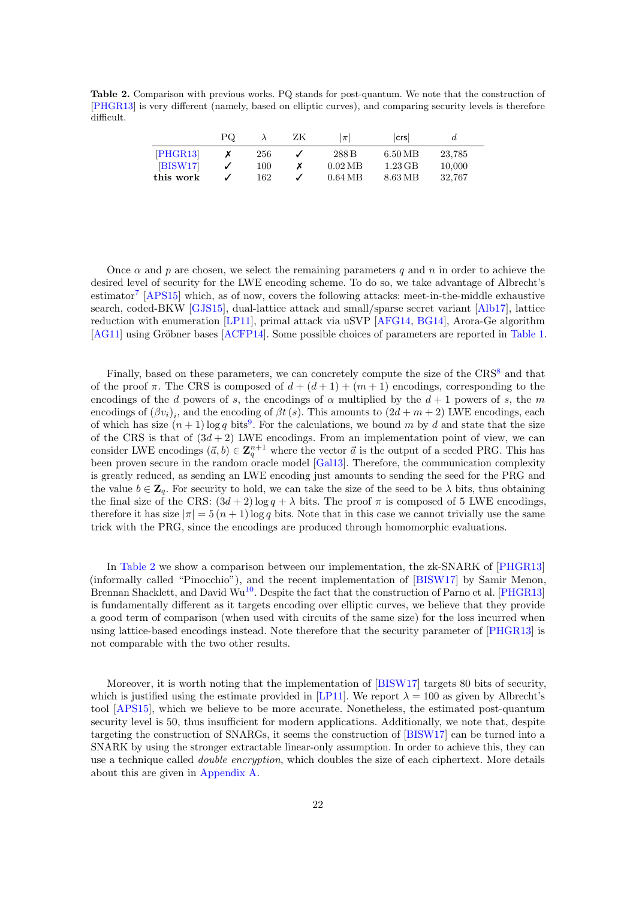<span id="page-21-0"></span>Table 2. Comparison with previous works. PQ stands for post-quantum. We note that the construction of [\[PHGR13\]](#page-25-2) is very different (namely, based on elliptic curves), and comparing security levels is therefore difficult.

|           | ΡQ |     | ZΚ | $ \pi $           | lcrsl               |        |  |
|-----------|----|-----|----|-------------------|---------------------|--------|--|
| [PHGR13]  |    | 256 |    | 288 B             | $6.50\,\mathrm{MB}$ | 23,785 |  |
| BISW17    |    | 100 |    | $0.02 \text{ MB}$ | $1.23\,\mathrm{GB}$ | 10,000 |  |
| this work |    | 162 |    | $0.64 \text{ MB}$ | 8.63 MB             | 32.767 |  |

Once  $\alpha$  and p are chosen, we select the remaining parameters q and n in order to achieve the desired level of security for the LWE encoding scheme. To do so, we take advantage of Albrecht's estimator<sup>[7](#page-22-0)</sup> [\[APS15\]](#page-23-14) which, as of now, covers the following attacks: meet-in-the-middle exhaustive search, coded-BKW [\[GJS15\]](#page-24-16), dual-lattice attack and small/sparse secret variant [\[Alb17\]](#page-23-15), lattice reduction with enumeration [\[LP11\]](#page-25-9), primal attack via uSVP [\[AFG14,](#page-23-16) [BG14\]](#page-24-17), Arora-Ge algorithm [\[AG11\]](#page-23-17) using Gröbner bases [\[ACFP14\]](#page-23-18). Some possible choices of parameters are reported in [Table 1.](#page-2-1)

Finally, based on these parameters, we can concretely compute the size of the CRS<sup>[8](#page-22-1)</sup> and that of the proof  $\pi$ . The CRS is composed of  $d + (d + 1) + (m + 1)$  encodings, corresponding to the encodings of the d powers of s, the encodings of  $\alpha$  multiplied by the  $d+1$  powers of s, the m encodings of  $(\beta v_i)_i$ , and the encoding of  $\beta t$  (s). This amounts to  $(2d + m + 2)$  LWE encodings, each of which has size  $(n+1)$  log q bits<sup>[9](#page-22-2)</sup>. For the calculations, we bound m by d and state that the size of the CRS is that of  $(3d + 2)$  LWE encodings. From an implementation point of view, we can consider LWE encodings  $(\vec{a}, b) \in \mathbb{Z}_q^{n+1}$  where the vector  $\vec{a}$  is the output of a seeded PRG. This has been proven secure in the random oracle model [\[Gal13\]](#page-24-18). Therefore, the communication complexity is greatly reduced, as sending an LWE encoding just amounts to sending the seed for the PRG and the value  $b \in \mathbb{Z}_q$ . For security to hold, we can take the size of the seed to be  $\lambda$  bits, thus obtaining the final size of the CRS:  $(3d+2) \log q + \lambda$  bits. The proof  $\pi$  is composed of 5 LWE encodings, therefore it has size  $|\pi| = 5(n + 1) \log q$  bits. Note that in this case we cannot trivially use the same trick with the PRG, since the encodings are produced through homomorphic evaluations.

In [Table 2](#page-21-0) we show a comparison between our implementation, the zk-SNARK of [\[PHGR13\]](#page-25-2) (informally called "Pinocchio"), and the recent implementation of [\[BISW17\]](#page-24-6) by Samir Menon, Brennan Shacklett, and David Wu<sup>[10](#page-22-3)</sup>. Despite the fact that the construction of Parno et al. [\[PHGR13\]](#page-25-2) is fundamentally different as it targets encoding over elliptic curves, we believe that they provide a good term of comparison (when used with circuits of the same size) for the loss incurred when using lattice-based encodings instead. Note therefore that the security parameter of [\[PHGR13\]](#page-25-2) is not comparable with the two other results.

Moreover, it is worth noting that the implementation of [\[BISW17\]](#page-24-6) targets 80 bits of security, which is justified using the estimate provided in [\[LP11\]](#page-25-9). We report  $\lambda = 100$  as given by Albrecht's tool [\[APS15\]](#page-23-14), which we believe to be more accurate. Nonetheless, the estimated post-quantum security level is 50, thus insufficient for modern applications. Additionally, we note that, despite targeting the construction of SNARGs, it seems the construction of [\[BISW17\]](#page-24-6) can be turned into a SNARK by using the stronger extractable linear-only assumption. In order to achieve this, they can use a technique called *double encryption*, which doubles the size of each ciphertext. More details about this are given in [Appendix A.](#page-26-0)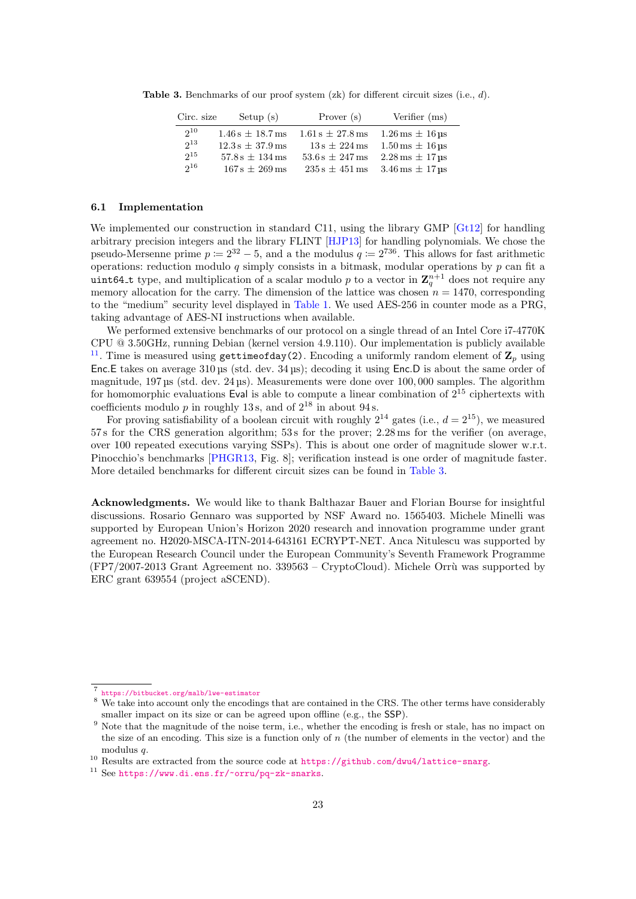**Table 3.** Benchmarks of our proof system  $(zk)$  for different circuit sizes (i.e., d).

<span id="page-22-5"></span>

| Circ. size | Setup $(s)$          | Prover (s)           | Verifier (ms)                             |
|------------|----------------------|----------------------|-------------------------------------------|
| $2^{10}$   | $1.46 s + 18.7 m s$  | $1.61 s \pm 27.8$ ms | $1.26 \,\mathrm{ms} \pm 16 \,\mathrm{us}$ |
| $2^{13}$   | $12.3 s \pm 37.9$ ms | $13s \pm 224$ ms     | $1.50 \,\mathrm{ms} \pm 16 \,\mathrm{us}$ |
| $2^{15}$   | $57.8 s \pm 134$ ms  | $53.6 s \pm 247$ ms  | $2.28 \,\mathrm{ms} \pm 17 \,\mathrm{us}$ |
| $2^{16}$   | $167 s \pm 269$ ms   | $235 s \pm 451$ ms   | $3.46 \,\mathrm{ms} \pm 17 \,\mathrm{us}$ |

## 6.1 Implementation

We implemented our construction in standard C11, using the library GMP [\[Gt12\]](#page-24-19) for handling arbitrary precision integers and the library FLINT [\[HJP13\]](#page-25-10) for handling polynomials. We chose the pseudo-Mersenne prime  $p \coloneqq 2^{32} - 5$ , and a the modulus  $q \coloneqq 2^{736}$ . This allows for fast arithmetic operations: reduction modulo  $q$  simply consists in a bitmask, modular operations by  $p$  can fit a uint64<sub>-t</sub> type, and multiplication of a scalar modulo p to a vector in  $\mathbf{Z}_q^{n+1}$  does not require any memory allocation for the carry. The dimension of the lattice was chosen  $n = 1470$ , corresponding to the "medium" security level displayed in [Table 1.](#page-2-1) We used AES-256 in counter mode as a PRG, taking advantage of AES-NI instructions when available.

We performed extensive benchmarks of our protocol on a single thread of an Intel Core i7-4770K CPU @ 3.50GHz, running Debian (kernel version 4.9.110). Our implementation is publicly available <sup>[11](#page-22-4)</sup>. Time is measured using gettimeofday(2). Encoding a uniformly random element of  $\mathbb{Z}_p$  using Enc.E takes on average 310 µs (std. dev. 34 µs); decoding it using Enc.D is about the same order of magnitude, 197 µs (std. dev. 24 µs). Measurements were done over 100, 000 samples. The algorithm for homomorphic evaluations Eval is able to compute a linear combination of  $2^{15}$  ciphertexts with coefficients modulo  $p$  in roughly 13s, and of  $2^{18}$  in about 94s.

For proving satisfiability of a boolean circuit with roughly  $2^{14}$  gates (i.e.,  $d = 2^{15}$ ), we measured 57 s for the CRS generation algorithm; 53 s for the prover; 2.28 ms for the verifier (on average, over 100 repeated executions varying SSPs). This is about one order of magnitude slower w.r.t. Pinocchio's benchmarks [\[PHGR13,](#page-25-2) Fig. 8]; verification instead is one order of magnitude faster. More detailed benchmarks for different circuit sizes can be found in [Table 3.](#page-22-5)

Acknowledgments. We would like to thank Balthazar Bauer and Florian Bourse for insightful discussions. Rosario Gennaro was supported by NSF Award no. 1565403. Michele Minelli was supported by European Union's Horizon 2020 research and innovation programme under grant agreement no. H2020-MSCA-ITN-2014-643161 ECRYPT-NET. Anca Nitulescu was supported by the European Research Council under the European Community's Seventh Framework Programme  $(FP7/2007-2013$  Grant Agreement no.  $339563$  – CryptoCloud). Michele Orrù was supported by ERC grant 639554 (project aSCEND).

<span id="page-22-0"></span><sup>7</sup> <https://bitbucket.org/malb/lwe-estimator>

<span id="page-22-1"></span><sup>&</sup>lt;sup>8</sup> We take into account only the encodings that are contained in the CRS. The other terms have considerably smaller impact on its size or can be agreed upon offline (e.g., the SSP).

<span id="page-22-2"></span><sup>&</sup>lt;sup>9</sup> Note that the magnitude of the noise term, i.e., whether the encoding is fresh or stale, has no impact on the size of an encoding. This size is a function only of n (the number of elements in the vector) and the modulus *a*.

<span id="page-22-3"></span><sup>10</sup> Results are extracted from the source code at <https://github.com/dwu4/lattice-snarg>.

<span id="page-22-4"></span> $^{11}$  See <https://www.di.ens.fr/~orru/pq-zk-snarks>.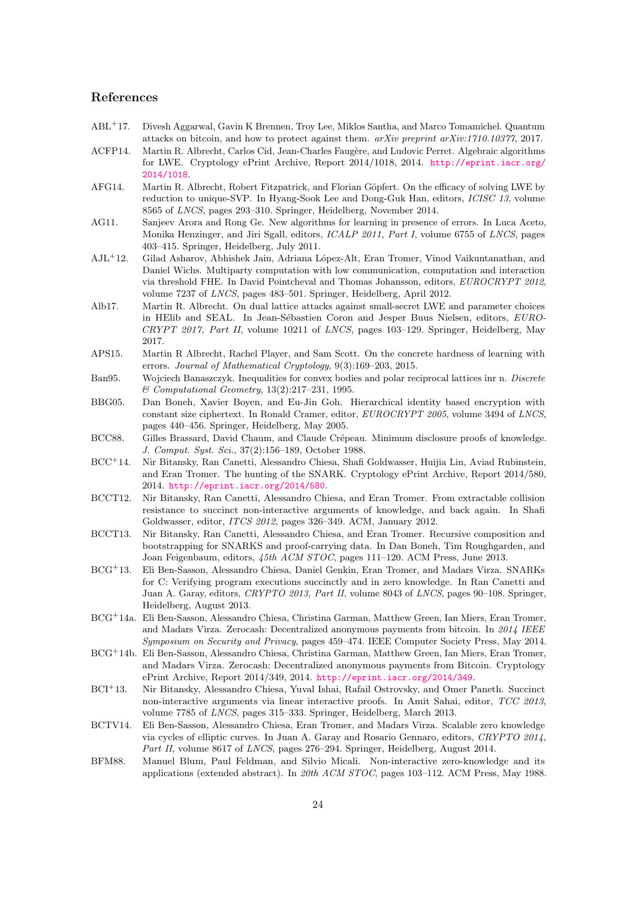## References

- <span id="page-23-10"></span>ABL<sup>+</sup>17. Divesh Aggarwal, Gavin K Brennen, Troy Lee, Miklos Santha, and Marco Tomamichel. Quantum attacks on bitcoin, and how to protect against them. arXiv preprint arXiv:1710.10377, 2017.
- <span id="page-23-18"></span>ACFP14. Martin R. Albrecht, Carlos Cid, Jean-Charles Faugère, and Ludovic Perret. Algebraic algorithms for LWE. Cryptology ePrint Archive, Report 2014/1018, 2014. [http://eprint.iacr.org/](http://eprint.iacr.org/2014/1018) [2014/1018](http://eprint.iacr.org/2014/1018).
- <span id="page-23-16"></span>AFG14. Martin R. Albrecht, Robert Fitzpatrick, and Florian Göpfert. On the efficacy of solving LWE by reduction to unique-SVP. In Hyang-Sook Lee and Dong-Guk Han, editors, ICISC 13, volume 8565 of LNCS, pages 293–310. Springer, Heidelberg, November 2014.
- <span id="page-23-17"></span>AG11. Sanjeev Arora and Rong Ge. New algorithms for learning in presence of errors. In Luca Aceto, Monika Henzinger, and Jiri Sgall, editors, ICALP 2011, Part I, volume 6755 of LNCS, pages 403–415. Springer, Heidelberg, July 2011.
- <span id="page-23-13"></span>AJL<sup>+</sup>12. Gilad Asharov, Abhishek Jain, Adriana López-Alt, Eran Tromer, Vinod Vaikuntanathan, and Daniel Wichs. Multiparty computation with low communication, computation and interaction via threshold FHE. In David Pointcheval and Thomas Johansson, editors, EUROCRYPT 2012, volume 7237 of LNCS, pages 483–501. Springer, Heidelberg, April 2012.
- <span id="page-23-15"></span>Alb17. Martin R. Albrecht. On dual lattice attacks against small-secret LWE and parameter choices in HElib and SEAL. In Jean-Sébastien Coron and Jesper Buus Nielsen, editors, EURO-CRYPT 2017, Part II, volume 10211 of LNCS, pages 103–129. Springer, Heidelberg, May 2017.
- <span id="page-23-14"></span>APS15. Martin R Albrecht, Rachel Player, and Sam Scott. On the concrete hardness of learning with errors. Journal of Mathematical Cryptology, 9(3):169–203, 2015.
- <span id="page-23-12"></span>Ban95. Wojciech Banaszczyk. Inequalities for convex bodies and polar reciprocal lattices inr n. Discrete & Computational Geometry, 13(2):217–231, 1995.
- <span id="page-23-11"></span>BBG05. Dan Boneh, Xavier Boyen, and Eu-Jin Goh. Hierarchical identity based encryption with constant size ciphertext. In Ronald Cramer, editor, EUROCRYPT 2005, volume 3494 of LNCS, pages 440–456. Springer, Heidelberg, May 2005.
- <span id="page-23-0"></span>BCC88. Gilles Brassard, David Chaum, and Claude Crépeau. Minimum disclosure proofs of knowledge. J. Comput. Syst. Sci., 37(2):156–189, October 1988.
- <span id="page-23-3"></span>BCC<sup>+</sup>14. Nir Bitansky, Ran Canetti, Alessandro Chiesa, Shafi Goldwasser, Huijia Lin, Aviad Rubinstein, and Eran Tromer. The hunting of the SNARK. Cryptology ePrint Archive, Report 2014/580, 2014. <http://eprint.iacr.org/2014/580>.
- <span id="page-23-2"></span>BCCT12. Nir Bitansky, Ran Canetti, Alessandro Chiesa, and Eran Tromer. From extractable collision resistance to succinct non-interactive arguments of knowledge, and back again. In Shafi Goldwasser, editor, ITCS 2012, pages 326–349. ACM, January 2012.
- <span id="page-23-7"></span>BCCT13. Nir Bitansky, Ran Canetti, Alessandro Chiesa, and Eran Tromer. Recursive composition and bootstrapping for SNARKS and proof-carrying data. In Dan Boneh, Tim Roughgarden, and Joan Feigenbaum, editors, 45th ACM STOC, pages 111–120. ACM Press, June 2013.
- <span id="page-23-5"></span>BCG<sup>+</sup>13. Eli Ben-Sasson, Alessandro Chiesa, Daniel Genkin, Eran Tromer, and Madars Virza. SNARKs for C: Verifying program executions succinctly and in zero knowledge. In Ran Canetti and Juan A. Garay, editors, CRYPTO 2013, Part II, volume 8043 of LNCS, pages 90–108. Springer, Heidelberg, August 2013.
- <span id="page-23-8"></span>BCG<sup>+</sup>14a. Eli Ben-Sasson, Alessandro Chiesa, Christina Garman, Matthew Green, Ian Miers, Eran Tromer, and Madars Virza. Zerocash: Decentralized anonymous payments from bitcoin. In 2014 IEEE Symposium on Security and Privacy, pages 459–474. IEEE Computer Society Press, May 2014.
- <span id="page-23-9"></span>BCG<sup>+</sup>14b. Eli Ben-Sasson, Alessandro Chiesa, Christina Garman, Matthew Green, Ian Miers, Eran Tromer, and Madars Virza. Zerocash: Decentralized anonymous payments from Bitcoin. Cryptology ePrint Archive, Report 2014/349, 2014. <http://eprint.iacr.org/2014/349>.
- <span id="page-23-4"></span>BCI<sup>+</sup>13. Nir Bitansky, Alessandro Chiesa, Yuval Ishai, Rafail Ostrovsky, and Omer Paneth. Succinct non-interactive arguments via linear interactive proofs. In Amit Sahai, editor, TCC 2013, volume 7785 of LNCS, pages 315–333. Springer, Heidelberg, March 2013.
- <span id="page-23-6"></span>BCTV14. Eli Ben-Sasson, Alessandro Chiesa, Eran Tromer, and Madars Virza. Scalable zero knowledge via cycles of elliptic curves. In Juan A. Garay and Rosario Gennaro, editors, CRYPTO 2014, Part II, volume 8617 of LNCS, pages 276–294. Springer, Heidelberg, August 2014.
- <span id="page-23-1"></span>BFM88. Manuel Blum, Paul Feldman, and Silvio Micali. Non-interactive zero-knowledge and its applications (extended abstract). In 20th ACM STOC, pages 103–112. ACM Press, May 1988.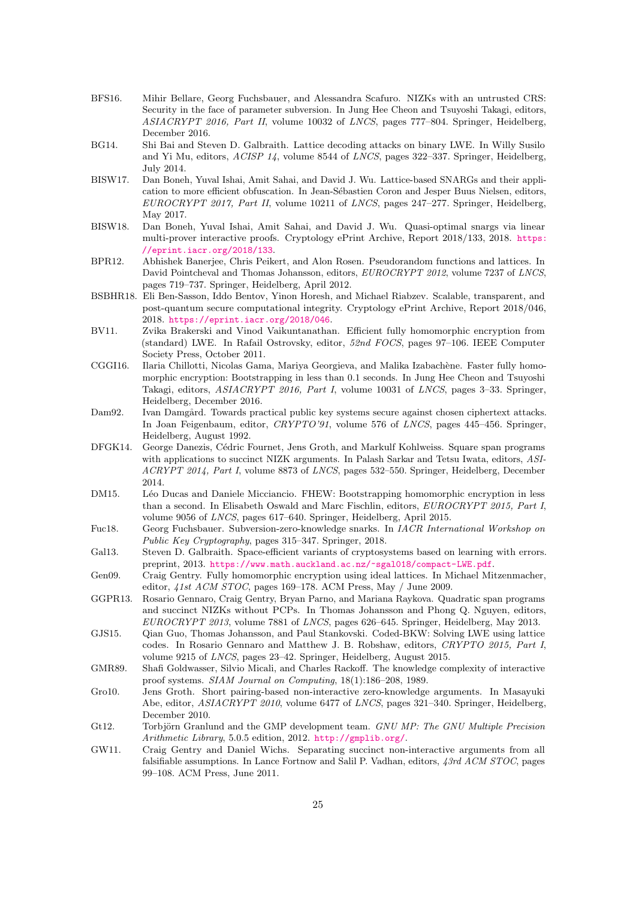- <span id="page-24-11"></span>BFS16. Mihir Bellare, Georg Fuchsbauer, and Alessandra Scafuro. NIZKs with an untrusted CRS: Security in the face of parameter subversion. In Jung Hee Cheon and Tsuyoshi Takagi, editors, ASIACRYPT 2016, Part II, volume 10032 of LNCS, pages 777–804. Springer, Heidelberg, December 2016.
- <span id="page-24-17"></span>BG14. Shi Bai and Steven D. Galbraith. Lattice decoding attacks on binary LWE. In Willy Susilo and Yi Mu, editors, ACISP 14, volume 8544 of LNCS, pages 322–337. Springer, Heidelberg, July 2014.
- <span id="page-24-6"></span>BISW17. Dan Boneh, Yuval Ishai, Amit Sahai, and David J. Wu. Lattice-based SNARGs and their application to more efficient obfuscation. In Jean-Sébastien Coron and Jesper Buus Nielsen, editors, EUROCRYPT 2017, Part II, volume 10211 of LNCS, pages 247–277. Springer, Heidelberg, May 2017.
- <span id="page-24-7"></span>BISW18. Dan Boneh, Yuval Ishai, Amit Sahai, and David J. Wu. Quasi-optimal snargs via linear multi-prover interactive proofs. Cryptology ePrint Archive, Report 2018/133, 2018. [https:](https://eprint.iacr.org/2018/133) [//eprint.iacr.org/2018/133](https://eprint.iacr.org/2018/133).
- <span id="page-24-12"></span>BPR12. Abhishek Banerjee, Chris Peikert, and Alon Rosen. Pseudorandom functions and lattices. In David Pointcheval and Thomas Johansson, editors, EUROCRYPT 2012, volume 7237 of LNCS, pages 719–737. Springer, Heidelberg, April 2012.
- <span id="page-24-5"></span>BSBHR18. Eli Ben-Sasson, Iddo Bentov, Yinon Horesh, and Michael Riabzev. Scalable, transparent, and post-quantum secure computational integrity. Cryptology ePrint Archive, Report 2018/046, 2018. <https://eprint.iacr.org/2018/046>.
- <span id="page-24-10"></span>BV11. Zvika Brakerski and Vinod Vaikuntanathan. Efficient fully homomorphic encryption from (standard) LWE. In Rafail Ostrovsky, editor, 52nd FOCS, pages 97–106. IEEE Computer Society Press, October 2011.
- <span id="page-24-15"></span>CGGI16. Ilaria Chillotti, Nicolas Gama, Mariya Georgieva, and Malika Izabachène. Faster fully homomorphic encryption: Bootstrapping in less than 0.1 seconds. In Jung Hee Cheon and Tsuyoshi Takagi, editors, ASIACRYPT 2016, Part I, volume 10031 of LNCS, pages 3–33. Springer, Heidelberg, December 2016.
- <span id="page-24-9"></span>Dam92. Ivan Damgård. Towards practical public key systems secure against chosen ciphertext attacks. In Joan Feigenbaum, editor, CRYPTO'91, volume 576 of LNCS, pages 445–456. Springer, Heidelberg, August 1992.
- <span id="page-24-1"></span>DFGK14. George Danezis, Cédric Fournet, Jens Groth, and Markulf Kohlweiss. Square span programs with applications to succinct NIZK arguments. In Palash Sarkar and Tetsu Iwata, editors, ASI-ACRYPT 2014, Part I, volume 8873 of LNCS, pages 532–550. Springer, Heidelberg, December 2014.
- <span id="page-24-14"></span>DM15. Léo Ducas and Daniele Micciancio. FHEW: Bootstrapping homomorphic encryption in less than a second. In Elisabeth Oswald and Marc Fischlin, editors, EUROCRYPT 2015, Part I, volume 9056 of LNCS, pages 617–640. Springer, Heidelberg, April 2015.
- <span id="page-24-8"></span>Fuc18. Georg Fuchsbauer. Subversion-zero-knowledge snarks. In IACR International Workshop on Public Key Cryptography, pages 315–347. Springer, 2018.
- <span id="page-24-18"></span>Gal13. Steven D. Galbraith. Space-efficient variants of cryptosystems based on learning with errors. preprint, 2013. <https://www.math.auckland.ac.nz/~sgal018/compact-LWE.pdf>.
- <span id="page-24-13"></span>Gen09. Craig Gentry. Fully homomorphic encryption using ideal lattices. In Michael Mitzenmacher, editor, 41st ACM STOC, pages 169–178. ACM Press, May / June 2009.
- <span id="page-24-4"></span>GGPR13. Rosario Gennaro, Craig Gentry, Bryan Parno, and Mariana Raykova. Quadratic span programs and succinct NIZKs without PCPs. In Thomas Johansson and Phong Q. Nguyen, editors, EUROCRYPT 2013, volume 7881 of LNCS, pages 626–645. Springer, Heidelberg, May 2013.
- <span id="page-24-16"></span>GJS15. Qian Guo, Thomas Johansson, and Paul Stankovski. Coded-BKW: Solving LWE using lattice codes. In Rosario Gennaro and Matthew J. B. Robshaw, editors, CRYPTO 2015, Part I, volume 9215 of LNCS, pages 23–42. Springer, Heidelberg, August 2015.
- <span id="page-24-0"></span>GMR89. Shafi Goldwasser, Silvio Micali, and Charles Rackoff. The knowledge complexity of interactive proof systems. SIAM Journal on Computing, 18(1):186–208, 1989.
- <span id="page-24-3"></span>Gro10. Jens Groth. Short pairing-based non-interactive zero-knowledge arguments. In Masayuki Abe, editor, ASIACRYPT 2010, volume 6477 of LNCS, pages 321–340. Springer, Heidelberg, December 2010.
- <span id="page-24-19"></span>Gt12. Torbjörn Granlund and the GMP development team. GNU MP: The GNU Multiple Precision Arithmetic Library, 5.0.5 edition, 2012. <http://gmplib.org/>.
- <span id="page-24-2"></span>GW11. Craig Gentry and Daniel Wichs. Separating succinct non-interactive arguments from all falsifiable assumptions. In Lance Fortnow and Salil P. Vadhan, editors, 43rd ACM STOC, pages 99–108. ACM Press, June 2011.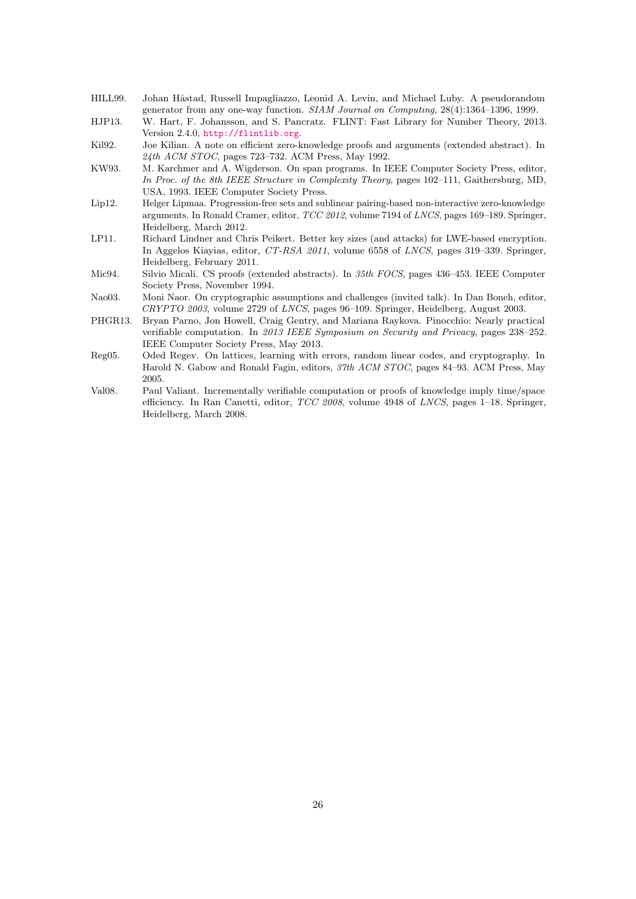- <span id="page-25-8"></span>HILL99. Johan Håstad, Russell Impagliazzo, Leonid A. Levin, and Michael Luby. A pseudorandom generator from any one-way function. SIAM Journal on Computing, 28(4):1364–1396, 1999.
- <span id="page-25-10"></span>HJP13. W. Hart, F. Johansson, and S. Pancratz. FLINT: Fast Library for Number Theory, 2013. Version 2.4.0, <http://flintlib.org>.
- <span id="page-25-0"></span>Kil92. Joe Kilian. A note on efficient zero-knowledge proofs and arguments (extended abstract). In 24th ACM STOC, pages 723–732. ACM Press, May 1992.
- <span id="page-25-6"></span>KW93. M. Karchmer and A. Wigderson. On span programs. In IEEE Computer Society Press, editor, In Proc. of the 8th IEEE Structure in Complexity Theory, pages 102–111, Gaithersburg, MD, USA, 1993. IEEE Computer Society Press.
- <span id="page-25-3"></span>Lip12. Helger Lipmaa. Progression-free sets and sublinear pairing-based non-interactive zero-knowledge arguments. In Ronald Cramer, editor, TCC 2012, volume 7194 of LNCS, pages 169–189. Springer, Heidelberg, March 2012.
- <span id="page-25-9"></span>LP11. Richard Lindner and Chris Peikert. Better key sizes (and attacks) for LWE-based encryption. In Aggelos Kiayias, editor, CT-RSA 2011, volume 6558 of LNCS, pages 319–339. Springer, Heidelberg, February 2011.
- <span id="page-25-1"></span>Mic94. Silvio Micali. CS proofs (extended abstracts). In 35th FOCS, pages 436–453. IEEE Computer Society Press, November 1994.
- <span id="page-25-4"></span>Nao03. Moni Naor. On cryptographic assumptions and challenges (invited talk). In Dan Boneh, editor, CRYPTO 2003, volume 2729 of LNCS, pages 96–109. Springer, Heidelberg, August 2003.
- <span id="page-25-2"></span>PHGR13. Bryan Parno, Jon Howell, Craig Gentry, and Mariana Raykova. Pinocchio: Nearly practical verifiable computation. In 2013 IEEE Symposium on Security and Privacy, pages 238–252. IEEE Computer Society Press, May 2013.
- <span id="page-25-7"></span>Reg05. Oded Regev. On lattices, learning with errors, random linear codes, and cryptography. In Harold N. Gabow and Ronald Fagin, editors, 37th ACM STOC, pages 84–93. ACM Press, May 2005.
- <span id="page-25-5"></span>Val08. Paul Valiant. Incrementally verifiable computation or proofs of knowledge imply time/space efficiency. In Ran Canetti, editor, TCC 2008, volume 4948 of LNCS, pages 1–18. Springer, Heidelberg, March 2008.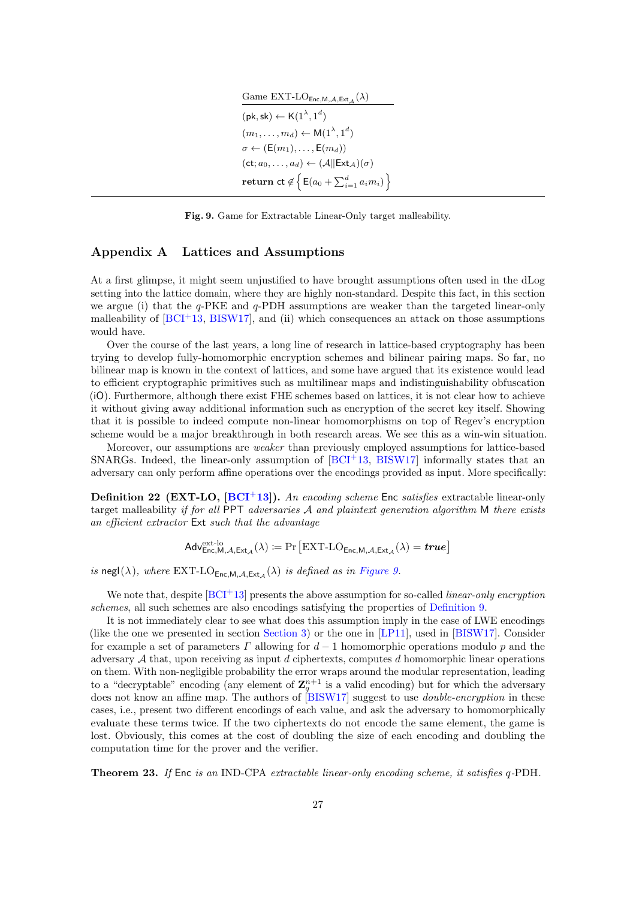| Game EXT-LO <sub>Enc,M,A,Ext<sub>A</sub>(<math>\lambda</math>)</sub>       |
|----------------------------------------------------------------------------|
| $(\mathsf{pk}, \mathsf{sk}) \leftarrow \mathsf{K}(1^{\lambda}, 1^d)$       |
| $(m_1,\ldots,m_d) \leftarrow M(1^{\lambda},1^d)$                           |
| $\sigma \leftarrow (E(m_1), \ldots, E(m_d))$                               |
| $(ct; a_0, \ldots, a_d) \leftarrow (A  Ext_A)(\sigma)$                     |
| return ct $\notin \left\{ \mathsf{E}(a_0 + \sum_{i=1}^d a_i m_i) \right\}$ |

<span id="page-26-1"></span>Fig. 9. Game for Extractable Linear-Only target malleability.

## <span id="page-26-0"></span>Appendix A Lattices and Assumptions

At a first glimpse, it might seem unjustified to have brought assumptions often used in the dLog setting into the lattice domain, where they are highly non-standard. Despite this fact, in this section we argue (i) that the  $q$ -PKE and  $q$ -PDH assumptions are weaker than the targeted linear-only malleability of  $[BCI<sup>+</sup>13, BISW17]$  $[BCI<sup>+</sup>13, BISW17]$  $[BCI<sup>+</sup>13, BISW17]$ , and (ii) which consequences an attack on those assumptions would have.

Over the course of the last years, a long line of research in lattice-based cryptography has been trying to develop fully-homomorphic encryption schemes and bilinear pairing maps. So far, no bilinear map is known in the context of lattices, and some have argued that its existence would lead to efficient cryptographic primitives such as multilinear maps and indistinguishability obfuscation (iO). Furthermore, although there exist FHE schemes based on lattices, it is not clear how to achieve it without giving away additional information such as encryption of the secret key itself. Showing that it is possible to indeed compute non-linear homomorphisms on top of Regev's encryption scheme would be a major breakthrough in both research areas. We see this as a win-win situation.

Moreover, our assumptions are weaker than previously employed assumptions for lattice-based SNARGs. Indeed, the linear-only assumption of  $[BCI<sup>+</sup>13, BISW17]$  $[BCI<sup>+</sup>13, BISW17]$  $[BCI<sup>+</sup>13, BISW17]$  informally states that an adversary can only perform affine operations over the encodings provided as input. More specifically:

**Definition 22 (EXT-LO, [\[BCI](#page-23-4)<sup>+</sup>13]).** An encoding scheme Enc satisfies extractable linear-only target malleability if for all PPT adversaries  $A$  and plaintext generation algorithm M there exists an efficient extractor Ext such that the advantage

$$
\mathsf{Adv}^{\mathrm{ext-lo}}_{\mathsf{Enc}, \mathsf{M}, \mathcal{A}, \mathsf{Ext}_{\mathcal{A}}}(\lambda) \coloneqq \Pr\big[\mathrm{EXT}\text{-}\mathrm{LO}_{\mathsf{Enc}, \mathsf{M}, \mathcal{A}, \mathsf{Ext}_{\mathcal{A}}}(\lambda) = \pmb{true}\big]
$$

is negl( $\lambda$ ), where EXT-LO<sub>Enc,M,A,Ext<sub>A</sub>( $\lambda$ ) is defined as in [Figure 9.](#page-26-1)</sub>

We note that, despite  $[BCI^+13]$  $[BCI^+13]$  presents the above assumption for so-called *linear-only encryption* schemes, all such schemes are also encodings satisfying the properties of [Definition 9.](#page-6-0)

It is not immediately clear to see what does this assumption imply in the case of LWE encodings (like the one we presented in section [Section 3\)](#page-8-0) or the one in [\[LP11\]](#page-25-9), used in [\[BISW17\]](#page-24-6). Consider for example a set of parameters  $\Gamma$  allowing for  $d-1$  homomorphic operations modulo p and the adversary  $A$  that, upon receiving as input  $d$  ciphertexts, computes  $d$  homomorphic linear operations on them. With non-negligible probability the error wraps around the modular representation, leading to a "decryptable" encoding (any element of  $\mathbb{Z}_q^{n+1}$  is a valid encoding) but for which the adversary does not know an affine map. The authors of [\[BISW17\]](#page-24-6) suggest to use *double-encryption* in these cases, i.e., present two different encodings of each value, and ask the adversary to homomorphically evaluate these terms twice. If the two ciphertexts do not encode the same element, the game is lost. Obviously, this comes at the cost of doubling the size of each encoding and doubling the computation time for the prover and the verifier.

<span id="page-26-2"></span>Theorem 23. If Enc is an IND-CPA extractable linear-only encoding scheme, it satisfies q-PDH.